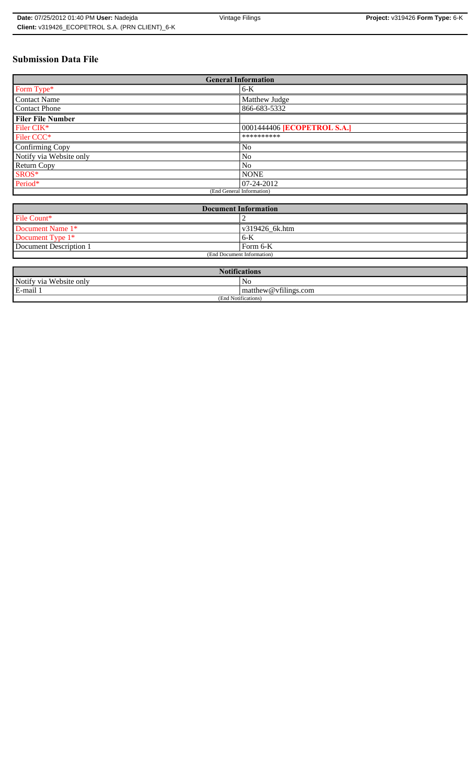## **Submission Data File**

| <b>General Information</b> |                                    |  |  |  |  |
|----------------------------|------------------------------------|--|--|--|--|
| Form Type*                 | $6-K$                              |  |  |  |  |
| <b>Contact Name</b>        | Matthew Judge                      |  |  |  |  |
| <b>Contact Phone</b>       | 866-683-5332                       |  |  |  |  |
| <b>Filer File Number</b>   |                                    |  |  |  |  |
| Filer CIK*                 | 0001444406 <b>[ECOPETROL S.A.]</b> |  |  |  |  |
| Filer CCC <sup>*</sup>     | **********                         |  |  |  |  |
| Confirming Copy            | N <sub>o</sub>                     |  |  |  |  |
| Notify via Website only    | N <sub>0</sub>                     |  |  |  |  |
| Return Copy                | N <sub>o</sub>                     |  |  |  |  |
| SROS*                      | <b>NONE</b>                        |  |  |  |  |
| Period*                    | $ 07-24-2012 $                     |  |  |  |  |
| (End General Information)  |                                    |  |  |  |  |

| Document Information       |                        |  |  |
|----------------------------|------------------------|--|--|
| File Count*                |                        |  |  |
| Document Name 1*           | $\sqrt{819426}$ 6k.htm |  |  |
| Document Type 1*           | $6 - K$                |  |  |
| Document Description 1     | Form 6-K               |  |  |
| (End Document Information) |                        |  |  |

| <b>Notifications</b>                            |    |  |  |
|-------------------------------------------------|----|--|--|
| Notify via Website only                         | No |  |  |
| E-mail 1<br>$\mathbf{m}$ matthew @ vfilings.com |    |  |  |
| (End Notifications)                             |    |  |  |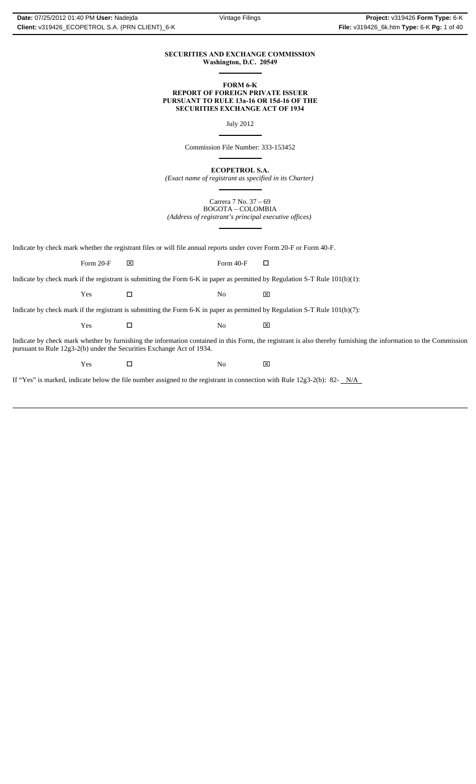#### **SECURITIES AND EXCHANGE COMMISSION Washington, D.C. 20549**  $\overline{a}$

#### **FORM 6-K REPORT OF FOREIGN PRIVATE ISSUER PURSUANT TO RULE 13a-16 OR 15d-16 OF THE SECURITIES EXCHANGE ACT OF 1934**

July 2012

Commission File Number: 333-153452

 $\overline{a}$ 

 $\overline{a}$ 

 $\overline{a}$ 

 $\overline{a}$ 

**ECOPETROL S.A.**

*(Exact name of registrant as specified in its Charter)*

Carrera 7 No. 37 – 69 BOGOTA – COLOMBIA *(Address of registrant's principal executive offices)*

Indicate by check mark whether the registrant files or will file annual reports under cover Form 20-F or Form 40-F.

Form 20-F  $\boxtimes$  Form 40-F  $\Box$ 

Indicate by check mark if the registrant is submitting the Form 6-K in paper as permitted by Regulation S-T Rule 101(b)(1):

Yes □ No ⊠

Indicate by check mark if the registrant is submitting the Form 6-K in paper as permitted by Regulation S-T Rule 101(b)(7):

Yes □ No ⊠

Indicate by check mark whether by furnishing the information contained in this Form, the registrant is also thereby furnishing the information to the Commission pursuant to Rule 12g3-2(b) under the Securities Exchange Act of 1934.

Yes □ No ⊠

If "Yes" is marked, indicate below the file number assigned to the registrant in connection with Rule 12g3-2(b): 82-  $N/A$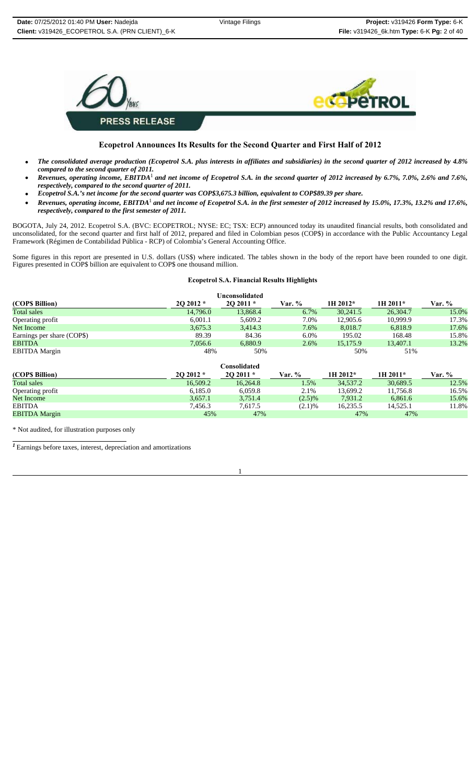

## **Ecopetrol Announces Its Results for the Second Quarter and First Half of 2012**

- *The consolidated average production (Ecopetrol S.A. plus interests in affiliates and subsidiaries) in the second quarter of 2012 increased by 4.8% compared to the second quarter of 2011.*
- *Revenues, operating income, EBITDA*1 *and net income of Ecopetrol S.A. in the second quarter of 2012 increased by 6.7%, 7.0%, 2.6% and 7.6%, respectively, compared to the second quarter of 2011.*
- *Ecopetrol S.A.'s net income for the second quarter was COP\$3,675.3 billion, equivalent to COP\$89.39 per share.*
- *Revenues, operating income, EBITDA*1 *and net income of Ecopetrol S.A. in the first semester of 2012 increased by 15.0%, 17.3%, 13.2% and 17.6%, respectively, compared to the first semester of 2011.*

BOGOTA, July 24, 2012. Ecopetrol S.A. (BVC: ECOPETROL; NYSE: EC; TSX: ECP) announced today its unaudited financial results, both consolidated and unconsolidated, for the second quarter and first half of 2012, prepared and filed in Colombian pesos (COP\$) in accordance with the Public Accountancy Legal Framework (Régimen de Contabilidad Pública - RCP) of Colombia's General Accounting Office.

Some figures in this report are presented in U.S. dollars (US\$) where indicated. The tables shown in the body of the report have been rounded to one digit. Figures presented in COP\$ billion are equivalent to COP\$ one thousand million.

#### **Ecopetrol S.A. Financial Results Highlights**

| Unconsolidated             |           |           |               |          |          |        |  |
|----------------------------|-----------|-----------|---------------|----------|----------|--------|--|
| (COP\$ Billion)            | $202012*$ | $202011*$ | <b>Var.</b> % | 1H 2012* | 1H 2011* | Var. % |  |
| Total sales                | 14.796.0  | 13,868.4  | 6.7%          | 30.241.5 | 26,304.7 | 15.0%  |  |
| Operating profit           | 6.001.1   | 5,609.2   | 7.0%          | 12,905.6 | 10.999.9 | 17.3%  |  |
| Net Income                 | 3,675.3   | 3,414.3   | 7.6%          | 8.018.7  | 6.818.9  | 17.6%  |  |
| Earnings per share (COP\$) | 89.39     | 84.36     | $6.0\%$       | 195.02   | 168.48   | 15.8%  |  |
| <b>EBITDA</b>              | 7,056.6   | 6,880.9   | 2.6%          | 15,175.9 | 13,407.1 | 13.2%  |  |
| <b>EBITDA</b> Margin       | 48%       | 50%       |               | 50%      | 51%      |        |  |

| <b>Consolidated</b>  |           |           |        |            |          |        |  |
|----------------------|-----------|-----------|--------|------------|----------|--------|--|
| (COPS Billion)       | $202012*$ | $202011*$ | Var. % | $1H 2012*$ | 1H 2011* | Var. % |  |
| <b>Total sales</b>   | 16.509.2  | 16.264.8  | 1.5%   | 34,537.2   | 30.689.5 | 12.5%  |  |
| Operating profit     | 6.185.0   | 6.059.8   | 2.1%   | 13.699.2   | 11.756.8 | 16.5%  |  |
| Net Income           | 3,657.1   | 3.751.4   | (2.5)% | 7.931.2    | 6.861.6  | 15.6%  |  |
| <b>EBITDA</b>        | 7.456.3   | 7.617.5   | (2.1)% | 16.235.5   | 14.525.1 | 11.8%  |  |
| <b>EBITDA Margin</b> | 45%       | 47%       |        | 47%        | 47%      |        |  |

\* Not audited, for illustration purposes only

*<sup>1</sup>*Earnings before taxes, interest, depreciation and amortizations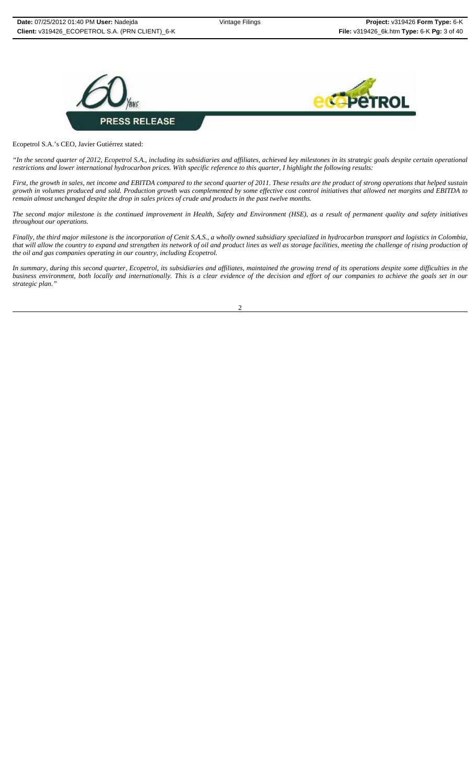



Ecopetrol S.A.'s CEO, Javier Gutiérrez stated:

*"In the second quarter of 2012, Ecopetrol S.A., including its subsidiaries and affiliates, achieved key milestones in its strategic goals despite certain operational restrictions and lower international hydrocarbon prices. With specific reference to this quarter, I highlight the following results:* 

*First, the growth in sales, net income and EBITDA compared to the second quarter of 2011. These results are the product of strong operations that helped sustain growth in volumes produced and sold. Production growth was complemented by some effective cost control initiatives that allowed net margins and EBITDA to remain almost unchanged despite the drop in sales prices of crude and products in the past twelve months.*

*The second major milestone is the continued improvement in Health, Safety and Environment (HSE), as a result of permanent quality and safety initiatives throughout our operations.* 

*Finally, the third major milestone is the incorporation of Cenit S.A.S., a wholly owned subsidiary specialized in hydrocarbon transport and logistics in Colombia, that will allow the country to expand and strengthen its network of oil and product lines as well as storage facilities, meeting the challenge of rising production of the oil and gas companies operating in our country, including Ecopetrol.*

*In summary, during this second quarter, Ecopetrol, its subsidiaries and affiliates, maintained the growing trend of its operations despite some difficulties in the business environment, both locally and internationally. This is a clear evidence of the decision and effort of our companies to achieve the goals set in our strategic plan."*

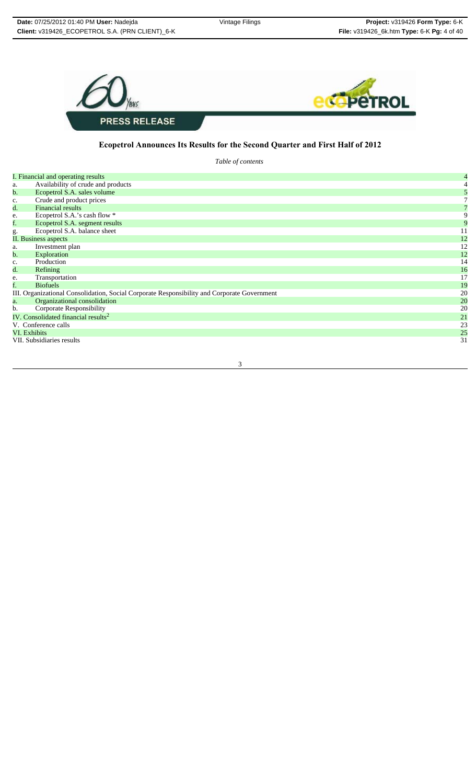

## **Ecopetrol Announces Its Results for the Second Quarter and First Half of 2012**

*Table of contents*

|                | I. Financial and operating results                                                          | $\overline{4}$ |
|----------------|---------------------------------------------------------------------------------------------|----------------|
| a.             | Availability of crude and products                                                          |                |
| b.             | Ecopetrol S.A. sales volume                                                                 |                |
| $\mathbf{c}$ . | Crude and product prices                                                                    |                |
| d.             | <b>Financial results</b>                                                                    |                |
| e.             | Ecopetrol S.A.'s cash flow *                                                                | 9              |
| f.             | Ecopetrol S.A. segment results                                                              |                |
| g.             | Ecopetrol S.A. balance sheet                                                                | 11             |
|                | II. Business aspects                                                                        | 12             |
| a.             | Investment plan                                                                             | 12             |
| b.             | Exploration                                                                                 | 12             |
| c.             | Production                                                                                  | 14             |
| d.             | Refining                                                                                    | 16             |
| e.             | Transportation                                                                              | 17             |
| f.             | <b>Biofuels</b>                                                                             | 19             |
|                | III. Organizational Consolidation, Social Corporate Responsibility and Corporate Government | 20             |
| a.             | Organizational consolidation                                                                | 20             |
| b.             | Corporate Responsibility                                                                    | 20             |
|                | IV. Consolidated financial results <sup>2</sup>                                             | 21             |
|                | V. Conference calls                                                                         | 23             |
| VI. Exhibits   |                                                                                             | 25             |
|                | VII. Subsidiaries results                                                                   | 31             |
|                |                                                                                             |                |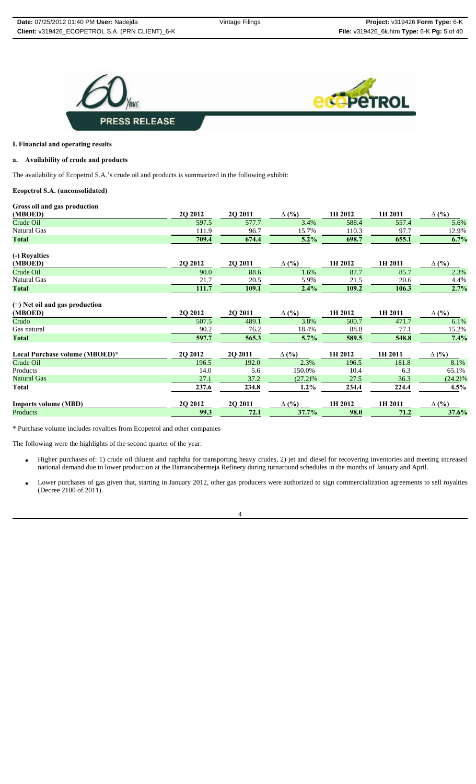



#### **I. Financial and operating results**

#### **a. Availability of crude and products**

The availability of Ecopetrol S.A.'s crude oil and products is summarized in the following exhibit:

#### **Ecopetrol S.A. (unconsolidated)**

#### **Gross oil and gas production**

| (MBOED)                          | 2Q 2012 | 2Q 2011 | $\Delta$ (%) | 1H 2012 | 1H 2011 | $\Delta$ (%) |
|----------------------------------|---------|---------|--------------|---------|---------|--------------|
| Crude Oil                        | 597.5   | 577.7   | 3.4%         | 588.4   | 557.4   | 5.6%         |
| Natural Gas                      | 111.9   | 96.7    | 15.7%        | 110.3   | 97.7    | 12.9%        |
| Total                            | 709.4   | 674.4   | 5.2%         | 698.7   | 655.1   | 6.7%         |
| (-) Royalties                    |         |         |              |         |         |              |
| (MBOED)                          | 2Q 2012 | 2Q 2011 | $\Delta$ (%) | 1H 2012 | 1H 2011 | $\Delta$ (%) |
| Crude Oil                        | 90.0    | 88.6    | 1.6%         | 87.7    | 85.7    | 2.3%         |
| Natural Gas                      | 21.7    | 20.5    | 5.9%         | 21.5    | 20.6    | 4.4%         |
| <b>Total</b>                     | 111.7   | 109.1   | 2.4%         | 109.2   | 106.3   | 2.7%         |
| $(=)$ Net oil and gas production |         |         |              |         |         |              |
| (MBOED)                          | 2Q 2012 | 2Q 2011 | $\Delta$ (%) | 1H 2012 | 1H 2011 | $\Delta$ (%) |
| Crudo                            | 507.5   | 489.1   | 3.8%         | 500.7   | 471.7   | 6.1%         |
| Gas natural                      | 90.2    | 76.2    | 18.4%        | 88.8    | 77.1    | 15.2%        |
| <b>Total</b>                     | 597.7   | 565.3   | 5.7%         | 589.5   | 548.8   | 7.4%         |
| Local Purchase volume (MBOED)*   | 2Q 2012 | 2Q 2011 | $\Delta$ (%) | 1H 2012 | 1H 2011 | $\Delta$ (%) |
| Crude Oil                        | 196.5   | 192.0   | 2.3%         | 196.5   | 181.8   | 8.1%         |
| Products                         | 14.0    | 5.6     | 150.0%       | 10.4    | 6.3     | 65.1%        |
| <b>Natural Gas</b>               | 27.1    | 37.2    | $(27.2)\%$   | 27.5    | 36.3    | $(24.2)\%$   |
| <b>Total</b>                     | 237.6   | 234.8   | $1.2\%$      | 234.4   | 224.4   | 4.5%         |
| <b>Imports volume (MBD)</b>      | 2Q 2012 | 2Q 2011 | $\Delta$ (%) | 1H 2012 | 1H 2011 | $\Delta$ (%) |
| <b>Products</b>                  | 99.3    | 72.1    | 37.7%        | 98.0    | 71.2    | 37.6%        |

\* Purchase volume includes royalties from Ecopetrol and other companies

The following were the highlights of the second quarter of the year:

- Higher purchases of: 1) crude oil diluent and naphtha for transporting heavy crudes, 2) jet and diesel for recovering inventories and meeting increased national demand due to lower production at the Barrancabermeja Refinery during turnaround schedules in the months of January and April.
- Lower purchases of gas given that, starting in January 2012, other gas producers were authorized to sign commercialization agreements to sell royalties (Decree 2100 of 2011).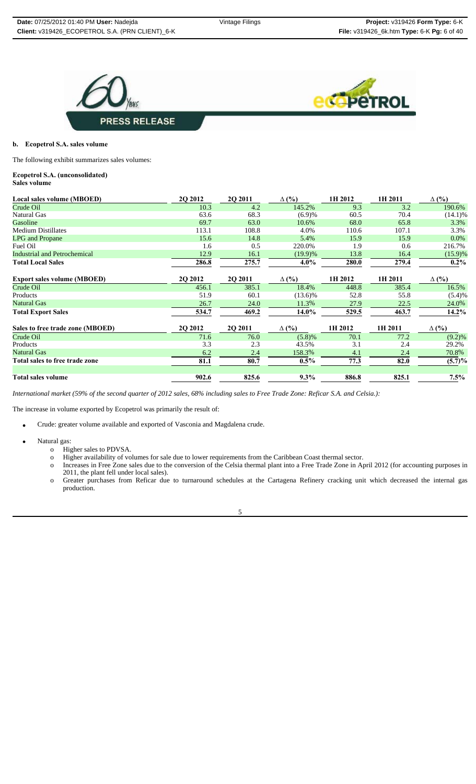



#### **b. Ecopetrol S.A. sales volume**

The following exhibit summarizes sales volumes:

# **Ecopetrol S.A. (unconsolidated)**

| Local sales volume (MBOED)          | 2Q 2012 | 2Q 2011 | $\Delta$ (%) | 1H 2012 | 1H 2011 | $\Delta$ (%) |
|-------------------------------------|---------|---------|--------------|---------|---------|--------------|
| Crude Oil                           | 10.3    | 4.2     | 145.2%       | 9.3     | 3.2     | 190.6%       |
| Natural Gas                         | 63.6    | 68.3    | (6.9)%       | 60.5    | 70.4    | $(14.1)\%$   |
| Gasoline                            | 69.7    | 63.0    | 10.6%        | 68.0    | 65.8    | 3.3%         |
| <b>Medium Distillates</b>           | 113.1   | 108.8   | 4.0%         | 110.6   | 107.1   | 3.3%         |
| <b>LPG</b> and Propane              | 15.6    | 14.8    | 5.4%         | 15.9    | 15.9    | $0.0\%$      |
| Fuel Oil                            | 1.6     | 0.5     | 220.0%       | 1.9     | 0.6     | 216.7%       |
| <b>Industrial and Petrochemical</b> | 12.9    | 16.1    | $(19.9)\%$   | 13.8    | 16.4    | $(15.9)\%$   |
| <b>Total Local Sales</b>            | 286.8   | 275.7   | $4.0\%$      | 280.0   | 279.4   | $0.2\%$      |
| <b>Export sales volume (MBOED)</b>  | 2Q 2012 | 2Q 2011 | $\Delta$ (%) | 1H 2012 | 1H 2011 | $\Delta$ (%) |
| Crude Oil                           | 456.1   | 385.1   | 18.4%        | 448.8   | 385.4   | 16.5%        |
| Products                            | 51.9    | 60.1    | $(13.6)\%$   | 52.8    | 55.8    | (5.4)%       |
| <b>Natural Gas</b>                  | 26.7    | 24.0    | 11.3%        | 27.9    | 22.5    | 24.0%        |
| <b>Total Export Sales</b>           | 534.7   | 469.2   | 14.0%        | 529.5   | 463.7   | $14.2\%$     |
| Sales to free trade zone (MBOED)    | 2Q 2012 | 2Q 2011 | $\Delta$ (%) | 1H 2012 | 1H 2011 | $\Delta$ (%) |
| Crude Oil                           | 71.6    | 76.0    | (5.8)%       | 70.1    | 77.2    | $(9.2)\%$    |
| Products                            | 3.3     | 2.3     | 43.5%        | 3.1     | 2.4     | 29.2%        |
| <b>Natural Gas</b>                  | 6.2     | 2.4     | 158.3%       | 4.1     | 2.4     | 70.8%        |
| Total sales to free trade zone      | 81.1    | 80.7    | $0.5\%$      | 77.3    | 82.0    | $(5.7)\%$    |
| <b>Total sales volume</b>           | 902.6   | 825.6   | $9.3\%$      | 886.8   | 825.1   | $7.5\%$      |

*International market (59% of the second quarter of 2012 sales, 68% including sales to Free Trade Zone: Reficar S.A. and Celsia.):*

The increase in volume exported by Ecopetrol was primarily the result of:

- Crude: greater volume available and exported of Vasconia and Magdalena crude.
- Natural gas:
	- o Higher sales to PDVSA.
	- o Higher availability of volumes for sale due to lower requirements from the Caribbean Coast thermal sector.
	- o Increases in Free Zone sales due to the conversion of the Celsia thermal plant into a Free Trade Zone in April 2012 (for accounting purposes in 2011, the plant fell under local sales).
	- o Greater purchases from Reficar due to turnaround schedules at the Cartagena Refinery cracking unit which decreased the internal gas production.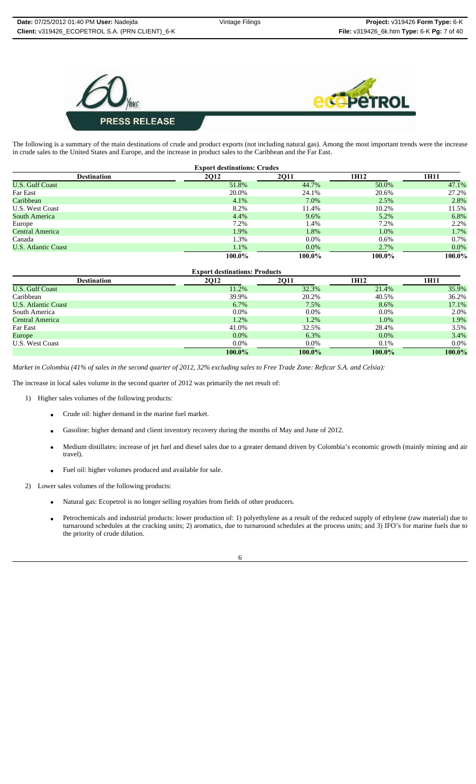



The following is a summary of the main destinations of crude and product exports (not including natural gas). Among the most important trends were the increase in crude sales to the United States and Europe, and the increase in product sales to the Caribbean and the Far East.

| <b>Export destinations: Crudes</b> |        |             |         |         |  |  |  |
|------------------------------------|--------|-------------|---------|---------|--|--|--|
| <b>Destination</b>                 | 2Q12   | <b>2011</b> | 1H12    | 1H11    |  |  |  |
| <b>U.S. Gulf Coast</b>             | 51.8%  | 44.7%       | 50.0%   | 47.1%   |  |  |  |
| Far East                           | 20.0%  | 24.1%       | 20.6%   | 27.2%   |  |  |  |
| Caribbean                          | 4.1%   | 7.0%        | 2.5%    | 2.8%    |  |  |  |
| <b>U.S. West Coast</b>             | 8.2%   | 11.4%       | 10.2%   | 11.5%   |  |  |  |
| South America                      | 4.4%   | 9.6%        | 5.2%    | 6.8%    |  |  |  |
| Europe                             | 7.2%   | 1.4%        | 7.2%    | 2.2%    |  |  |  |
| <b>Central America</b>             | 1.9%   | 1.8%        | 1.0%    | 1.7%    |  |  |  |
| Canada                             | 1.3%   | $0.0\%$     | $0.6\%$ | 0.7%    |  |  |  |
| <b>U.S. Atlantic Coast</b>         | 1.1%   | $0.0\%$     | 2.7%    | $0.0\%$ |  |  |  |
|                                    | 100.0% | 100.0%      | 100.0%  | 100.0%  |  |  |  |

| <b>Export destinations: Products</b> |             |             |         |         |  |  |
|--------------------------------------|-------------|-------------|---------|---------|--|--|
| <b>Destination</b>                   | <b>2Q12</b> | <b>2011</b> |         | 1H11    |  |  |
| <b>U.S. Gulf Coast</b>               | 11.2%       | 32.3%       | 21.4%   | 35.9%   |  |  |
| Caribbean                            | 39.9%       | 20.2%       | 40.5%   | 36.2%   |  |  |
| <b>U.S. Atlantic Coast</b>           | 6.7%        | 7.5%        | 8.6%    | 17.1%   |  |  |
| South America                        | $0.0\%$     | $0.0\%$     | $0.0\%$ | 2.0%    |  |  |
| Central America                      | 1.2%        | 1.2%        | 1.0%    | 1.9%    |  |  |
| Far East                             | 41.0%       | 32.5%       | 28.4%   | 3.5%    |  |  |
| Europe                               | $0.0\%$     | 6.3%        | $0.0\%$ | 3.4%    |  |  |
| <b>U.S. West Coast</b>               | $0.0\%$     | $0.0\%$     | 0.1%    | $0.0\%$ |  |  |
|                                      | 100.0%      | 100.0%      | 100.0%  | 100.0%  |  |  |

*Market in Colombia (41% of sales in the second quarter of 2012, 32% excluding sales to Free Trade Zone: Reficar S.A. and Celsia):*

The increase in local sales volume in the second quarter of 2012 was primarily the net result of:

- 1) Higher sales volumes of the following products:
	- Crude oil: higher demand in the marine fuel market.
	- Gasoline: higher demand and client inventory recovery during the months of May and June of 2012.
	- Medium distillates: increase of jet fuel and diesel sales due to a greater demand driven by Colombia's economic growth (mainly mining and air travel).
	- Fuel oil: higher volumes produced and available for sale.

2) Lower sales volumes of the following products:

- Natural gas: Ecopetrol is no longer selling royalties from fields of other producers.
- Petrochemicals and industrial products: lower production of: 1) polyethylene as a result of the reduced supply of ethylene (raw material) due to turnaround schedules at the cracking units; 2) aromatics, due to turnaround schedules at the process units; and 3) IFO's for marine fuels due to the priority of crude dilution.

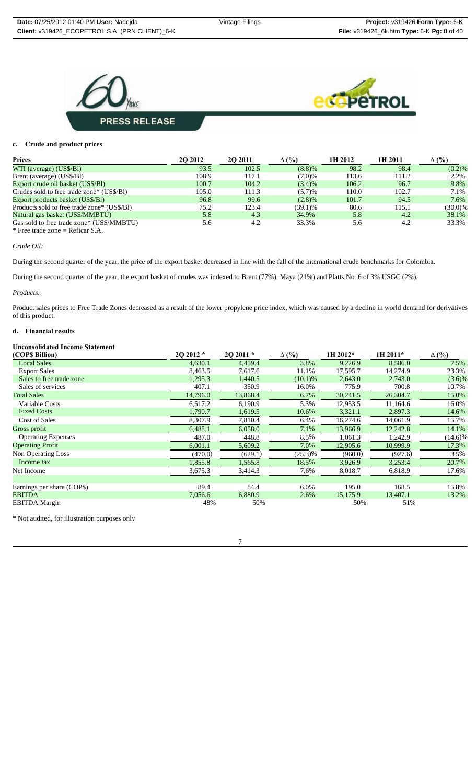



#### **c. Crude and product prices**

| <b>Prices</b>                               | <b>20 20 12</b> | <b>202011</b> | $\Delta$ (%) | 1H 2012 | 1H 2011 | $\Delta$ (%) |
|---------------------------------------------|-----------------|---------------|--------------|---------|---------|--------------|
| WTI (average) (US\$/Bl)                     | 93.5            | 102.5         | $(8.8)$ %    | 98.2    | 98.4    | (0.2)%       |
| Brent (average) (US\$/Bl)                   | 108.9           | 117.1         | (7.0)%       | 113.6   | 111.2   | 2.2%         |
| Export crude oil basket (US\$/BI)           | 100.7           | 104.2         | (3.4)%       | 106.2   | 96.7    | 9.8%         |
| Crudes sold to free trade zone* (US\$/BI)   | 105.0           | 111.3         | (5.7)%       | 110.0   | 102.7   | 7.1%         |
| Export products basket (US\$/BI)            | 96.8            | 99.6          | $(2.8)\%$    | 101.7   | 94.5    | 7.6%         |
| Products sold to free trade zone* (US\$/B1) | 75.2            | 123.4         | (39.1)%      | 80.6    | 115.1   | $(30.0)\%$   |
| Natural gas basket (US\$/MMBTU)             | 5.8             | 4.3           | 34.9%        | 5.8     | 4.2     | 38.1%        |
| Gas sold to free trade zone* (US\$/MMBTU)   | 5.6             | 4.2           | 33.3%        | 5.6     | 4.2     | 33.3%        |
| * Free trade zone = Reficar $S.A.$          |                 |               |              |         |         |              |

*Crude Oil:*

During the second quarter of the year, the price of the export basket decreased in line with the fall of the international crude benchmarks for Colombia.

During the second quarter of the year, the export basket of crudes was indexed to Brent (77%), Maya (21%) and Platts No. 6 of 3% USGC (2%).

#### *Products:*

Product sales prices to Free Trade Zones decreased as a result of the lower propylene price index, which was caused by a decline in world demand for derivatives of this product.

## **d. Financial results**

#### **Unconsolidated Income Statement**

| (COP\$ Billion)            | 20 20 12 * | 20 20 11 * | $\Delta$ (%) | 1H 2012* | 1H 2011* | $\Delta$ (%) |
|----------------------------|------------|------------|--------------|----------|----------|--------------|
| <b>Local Sales</b>         | 4,630.1    | 4,459.4    | 3.8%         | 9,226.9  | 8,586.0  | 7.5%         |
| <b>Export Sales</b>        | 8,463.5    | 7,617.6    | 11.1%        | 17,595.7 | 14,274.9 | 23.3%        |
| Sales to free trade zone   | 1,295.3    | 1,440.5    | $(10.1)\%$   | 2,643.0  | 2,743.0  | $(3.6)\%$    |
| Sales of services          | 407.1      | 350.9      | 16.0%        | 775.9    | 700.8    | 10.7%        |
| <b>Total Sales</b>         | 14,796.0   | 13,868.4   | 6.7%         | 30,241.5 | 26,304.7 | 15.0%        |
| Variable Costs             | 6,517.2    | 6,190.9    | 5.3%         | 12,953.5 | 11.164.6 | 16.0%        |
| <b>Fixed Costs</b>         | 1,790.7    | 1,619.5    | 10.6%        | 3,321.1  | 2,897.3  | 14.6%        |
| Cost of Sales              | 8,307.9    | 7,810.4    | 6.4%         | 16,274.6 | 14,061.9 | 15.7%        |
| Gross profit               | 6,488.1    | 6,058.0    | 7.1%         | 13,966.9 | 12,242.8 | 14.1%        |
| <b>Operating Expenses</b>  | 487.0      | 448.8      | 8.5%         | 1,061.3  | 1,242.9  | $(14.6)\%$   |
| <b>Operating Profit</b>    | 6,001.1    | 5,609.2    | 7.0%         | 12,905.6 | 10,999.9 | 17.3%        |
| Non Operating Loss         | (470.0)    | (629.1)    | $(25.3)\%$   | (960.0)  | (927.6)  | 3.5%         |
| Income tax                 | 1,855.8    | 1,565.8    | 18.5%        | 3,926.9  | 3,253.4  | 20.7%        |
| Net Income                 | 3,675.3    | 3,414.3    | 7.6%         | 8,018.7  | 6,818.9  | 17.6%        |
|                            |            |            |              |          |          |              |
| Earnings per share (COP\$) | 89.4       | 84.4       | 6.0%         | 195.0    | 168.5    | 15.8%        |
| <b>EBITDA</b>              | 7,056.6    | 6,880.9    | 2.6%         | 15,175.9 | 13,407.1 | 13.2%        |
| <b>EBITDA</b> Margin       | 48%        | 50%        |              | 50%      | 51%      |              |

\* Not audited, for illustration purposes only

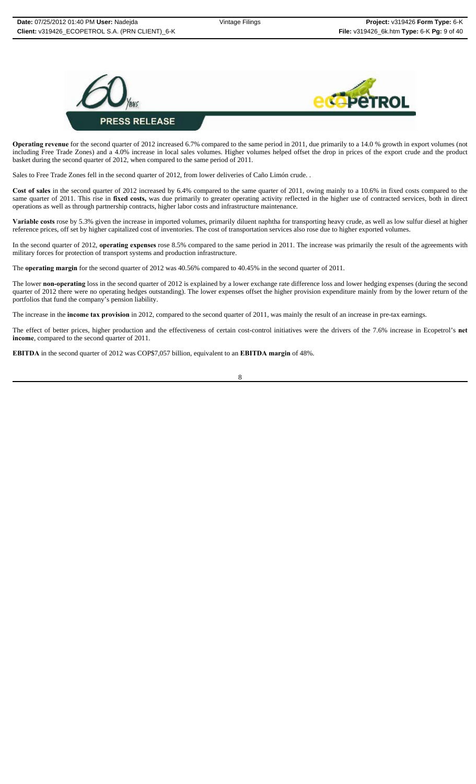

**Operating revenue** for the second quarter of 2012 increased 6.7% compared to the same period in 2011, due primarily to a 14.0 % growth in export volumes (not including Free Trade Zones) and a 4.0% increase in local sales volumes. Higher volumes helped offset the drop in prices of the export crude and the product basket during the second quarter of 2012, when compared to the same period of 2011.

Sales to Free Trade Zones fell in the second quarter of 2012, from lower deliveries of Caño Limón crude. .

**Cost of sales** in the second quarter of 2012 increased by 6.4% compared to the same quarter of 2011, owing mainly to a 10.6% in fixed costs compared to the same quarter of 2011. This rise in fixed costs, was due primarily to greater operating activity reflected in the higher use of contracted services, both in direct operations as well as through partnership contracts, higher labor costs and infrastructure maintenance.

**Variable costs** rose by 5.3% given the increase in imported volumes, primarily diluent naphtha for transporting heavy crude, as well as low sulfur diesel at higher reference prices, off set by higher capitalized cost of inventories. The cost of transportation services also rose due to higher exported volumes.

In the second quarter of 2012, **operating expenses** rose 8.5% compared to the same period in 2011. The increase was primarily the result of the agreements with military forces for protection of transport systems and production infrastructure.

The **operating margin** for the second quarter of 2012 was 40.56% compared to 40.45% in the second quarter of 2011.

The lower **non-operating** loss in the second quarter of 2012 is explained by a lower exchange rate difference loss and lower hedging expenses (during the second quarter of 2012 there were no operating hedges outstanding). The lower expenses offset the higher provision expenditure mainly from by the lower return of the portfolios that fund the company's pension liability.

The increase in the **income tax provision** in 2012, compared to the second quarter of 2011, was mainly the result of an increase in pre-tax earnings.

The effect of better prices, higher production and the effectiveness of certain cost-control initiatives were the drivers of the 7.6% increase in Ecopetrol's **net income**, compared to the second quarter of 2011.

**EBITDA** in the second quarter of 2012 was COP\$7,057 billion, equivalent to an **EBITDA margin** of 48%.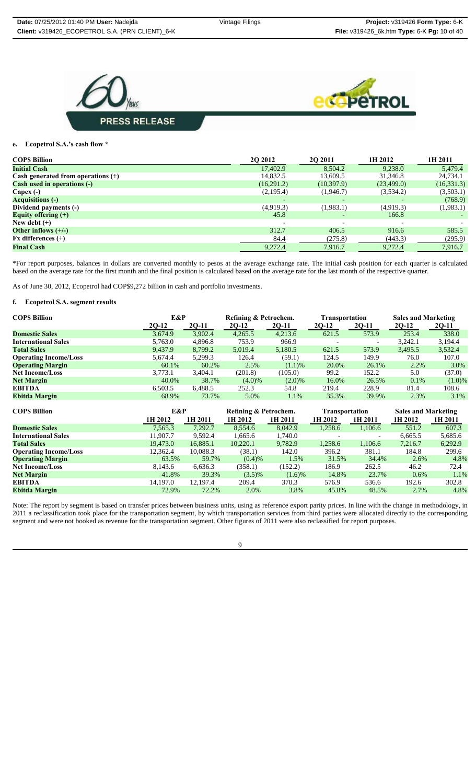



#### **e. Ecopetrol S.A.'s cash flow \***

| <b>COPS Billion</b>                  | <b>20 20 12</b>          | <b>2Q 2011</b>           | 1H 2012                  | 1H 2011     |
|--------------------------------------|--------------------------|--------------------------|--------------------------|-------------|
| <b>Initial Cash</b>                  | 17,402.9                 | 8,504.2                  | 9,238.0                  | 5,479.4     |
| Cash generated from operations $(+)$ | 14,832.5                 | 13,609.5                 | 31,346.8                 | 24,734.1    |
| <b>Cash used in operations (-)</b>   | (16,291.2)               | (10, 397.9)              | (23, 499.0)              | (16, 331.3) |
| Capex $(-)$                          | (2,195.4)                | (1,946.7)                | (3,534.2)                | (3,503.1)   |
| <b>Acquisitions (-)</b>              | -                        | $\overline{\phantom{a}}$ | $\overline{\phantom{0}}$ | (768.9)     |
| Dividend payments (-)                | (4,919.3)                | (1,983.1)                | (4,919.3)                | (1,983.1)   |
| Equity offering $(+)$                | 45.8                     | $\overline{\phantom{0}}$ | 166.8                    |             |
| New debt $(+)$                       | $\overline{\phantom{a}}$ | $\overline{\phantom{a}}$ | $\overline{\phantom{0}}$ |             |
| Other inflows $(+/-)$                | 312.7                    | 406.5                    | 916.6                    | 585.5       |
| $Fx$ differences $(+)$               | 84.4                     | (275.8)                  | (443.3)                  | (295.9)     |
| <b>Final Cash</b>                    | 9,272.4                  | 7,916.7                  | 9,272.4                  | 7,916.7     |

\*For report purposes, balances in dollars are converted monthly to pesos at the average exchange rate. The initial cash position for each quarter is calculated based on the average rate for the first month and the final position is calculated based on the average rate for the last month of the respective quarter.

As of June 30, 2012, Ecopetrol had COP\$9,272 billion in cash and portfolio investments.

## **f. Ecopetrol S.A. segment results**

| <b>COPS Billion</b>          | E&P     |         | Refining & Petrochem. |           | <b>Sales and Marketing</b><br>Transportation |       |         |         |
|------------------------------|---------|---------|-----------------------|-----------|----------------------------------------------|-------|---------|---------|
|                              | $2Q-12$ | 2Q-11   | 2Q-12                 | $2Q-11$   | $2Q-12$                                      | 2Q-11 | $2Q-12$ | $2Q-11$ |
| <b>Domestic Sales</b>        | 3.674.9 | 3.902.4 | 4,265.5               | 4,213.6   | 621.5                                        | 573.9 | 253.4   | 338.0   |
| <b>International Sales</b>   | 5,763.0 | 4,896.8 | 753.9                 | 966.9     |                                              |       | 3,242.1 | 3,194.4 |
| <b>Total Sales</b>           | 9.437.9 | 8.799.2 | 5,019.4               | 5,180.5   | 621.5                                        | 573.9 | 3,495.5 | 3,532.4 |
| <b>Operating Income/Loss</b> | 5,674.4 | 5,299.3 | 126.4                 | (59.1)    | 124.5                                        | 149.9 | 76.0    | 107.0   |
| <b>Operating Margin</b>      | 60.1%   | 60.2%   | 2.5%                  | (1.1)%    | 20.0%                                        | 26.1% | 2.2%    | 3.0%    |
| <b>Net Income/Loss</b>       | 3,773.1 | 3,404.1 | (201.8)               | (105.0)   | 99.2                                         | 152.2 | 5.0     | (37.0)  |
| <b>Net Margin</b>            | 40.0%   | 38.7%   | $(4.0)\%$             | $(2.0)\%$ | 16.0%                                        | 26.5% | 0.1%    | (1.0)%  |
| <b>EBITDA</b>                | 6,503.5 | 6.488.5 | 252.3                 | 54.8      | 219.4                                        | 228.9 | 81.4    | 108.6   |
| <b>Ebitda Margin</b>         | 68.9%   | 73.7%   | 5.0%                  | 1.1%      | 35.3%                                        | 39.9% | 2.3%    | 3.1%    |

| <b>COPS Billion</b>          | E&P      |          | Refining & Petrochem. |           | <b>Transportation</b> |                          | <b>Sales and Marketing</b> |         |
|------------------------------|----------|----------|-----------------------|-----------|-----------------------|--------------------------|----------------------------|---------|
|                              | 1H 2012  | 1H 2011  | 1H 2012               | 1H 2011   | 1H 2012               | 1H 2011                  | 1H 2012                    | 1H 2011 |
| <b>Domestic Sales</b>        | 7,565.3  | 7,292.7  | 8,554.6               | 8,042.9   | 1,258.6               | 1,106.6                  | 551.2                      | 607.3   |
| <b>International Sales</b>   | 11,907.7 | 9.592.4  | 1,665.6               | 1.740.0   |                       | $\overline{\phantom{0}}$ | 6.665.5                    | 5,685.6 |
| <b>Total Sales</b>           | 19,473.0 | 16,885.1 | 10,220.1              | 9,782.9   | 1,258.6               | 1,106.6                  | 7,216.7                    | 6,292.9 |
| <b>Operating Income/Loss</b> | 12,362.4 | 10,088.3 | (38.1)                | 142.0     | 396.2                 | 381.1                    | 184.8                      | 299.6   |
| <b>Operating Margin</b>      | 63.5%    | 59.7%    | (0.4)%                | 1.5%      | 31.5%                 | 34.4%                    | 2.6%                       | 4.8%    |
| <b>Net Income/Loss</b>       | 8,143.6  | 6,636.3  | (358.1)               | (152.2)   | 186.9                 | 262.5                    | 46.2                       | 72.4    |
| <b>Net Margin</b>            | 41.8%    | 39.3%    | $(3.5)\%$             | $(1.6)$ % | 14.8%                 | 23.7%                    | 0.6%                       | 1.1%    |
| <b>EBITDA</b>                | 14.197.0 | 12.197.4 | 209.4                 | 370.3     | 576.9                 | 536.6                    | 192.6                      | 302.8   |
| Ebitda Margin                | 72.9%    | 72.2%    | 2.0%                  | 3.8%      | 45.8%                 | 48.5%                    | 2.7%                       | 4.8%    |

Note: The report by segment is based on transfer prices between business units, using as reference export parity prices. In line with the change in methodology, in 2011 a reclassification took place for the transportation segment, by which transportation services from third parties were allocated directly to the corresponding segment and were not booked as revenue for the transportation segment. Other figures of 2011 were also reclassified for report purposes.

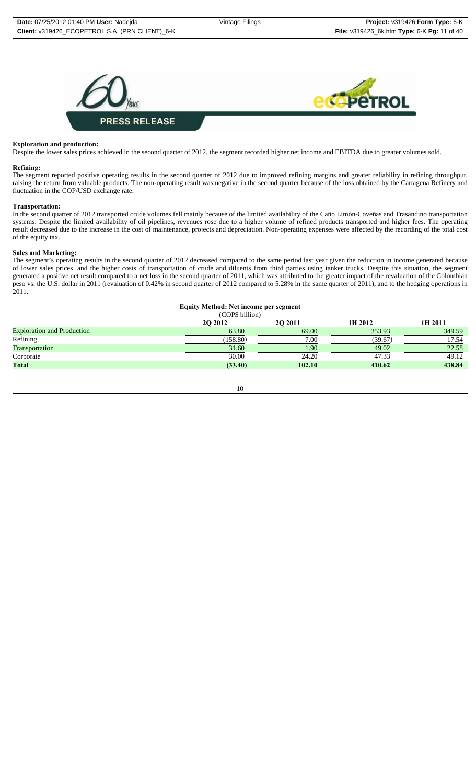

#### **Exploration and production:**

Despite the lower sales prices achieved in the second quarter of 2012, the segment recorded higher net income and EBITDA due to greater volumes sold.

#### **Refining:**

The segment reported positive operating results in the second quarter of 2012 due to improved refining margins and greater reliability in refining throughput, raising the return from valuable products. The non-operating result was negative in the second quarter because of the loss obtained by the Cartagena Refinery and fluctuation in the COP/USD exchange rate.

#### **Transportation:**

In the second quarter of 2012 transported crude volumes fell mainly because of the limited availability of the Caño Limón-Coveñas and Trasandino transportation systems. Despite the limited availability of oil pipelines, revenues rose due to a higher volume of refined products transported and higher fees. The operating result decreased due to the increase in the cost of maintenance, projects and depreciation. Non-operating expenses were affected by the recording of the total cost of the equity tax.

#### **Sales and Marketing:**

The segment's operating results in the second quarter of 2012 decreased compared to the same period last year given the reduction in income generated because of lower sales prices, and the higher costs of transportation of crude and diluents from third parties using tanker trucks. Despite this situation, the segment generated a positive net result compared to a net loss in the second quarter of 2011, which was attributed to the greater impact of the revaluation of the Colombian peso vs. the U.S. dollar in 2011 (revaluation of 0.42% in second quarter of 2012 compared to 5.28% in the same quarter of 2011), and to the hedging operations in 2011.

| <b>Equity Method: Net income per segment</b> |  |  |
|----------------------------------------------|--|--|
|                                              |  |  |

| (COP\$ billion)                   |                 |                   |         |         |  |
|-----------------------------------|-----------------|-------------------|---------|---------|--|
|                                   | <b>20 20 12</b> | <b>202011</b>     | 1H 2012 | 1H 2011 |  |
| <b>Exploration and Production</b> | 63.80           | 69.00             | 353.93  | 349.59  |  |
| Refining                          | (158.80)        | 7.00              | (39.67) | 17.54   |  |
| Transportation                    | 31.60           | 1.90 <sub>l</sub> | 49.02   | 22.58   |  |
| Corporate                         | 30.00           | 24.20             | 47.33   | 49.12   |  |
| <b>Total</b>                      | (33.40)         | 102.10            | 410.62  | 438.84  |  |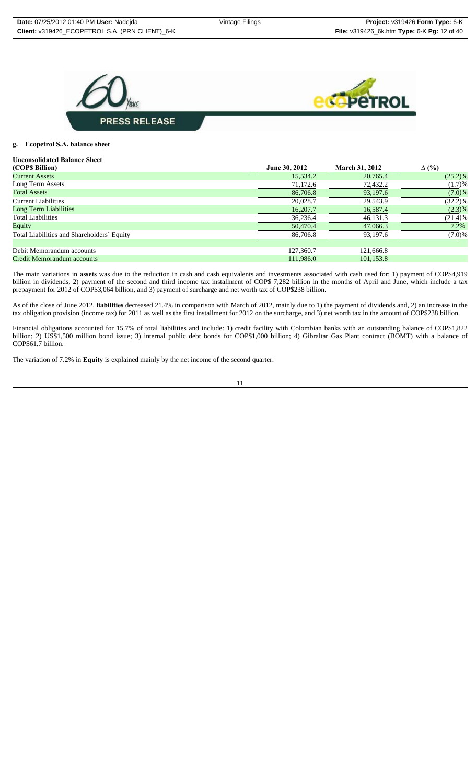



#### **g. Ecopetrol S.A. balance sheet**

## **Unconsolidated Balance Sheet**

| (COPS Billion)                             | June 30, 2012 | <b>March 31, 2012</b> | $\Delta$ (%) |
|--------------------------------------------|---------------|-----------------------|--------------|
| <b>Current Assets</b>                      | 15,534.2      | 20,765.4              | $(25.2)\%$   |
| Long Term Assets                           | 71,172.6      | 72,432.2              | (1.7)%       |
| <b>Total Assets</b>                        | 86,706.8      | 93,197.6              | (7.0)%       |
| <b>Current Liabilities</b>                 | 20,028.7      | 29,543.9              | $(32.2)\%$   |
| <b>Long Term Liabilities</b>               | 16,207.7      | 16,587.4              | $(2.3)\%$    |
| <b>Total Liabilities</b>                   | 36,236.4      | 46,131.3              | (21.4)%      |
| Equity                                     | 50,470.4      | 47,066.3              | $7.2\%$      |
| Total Liabilities and Shareholders' Equity | 86,706.8      | 93,197.6              | (7.0)%       |
| Debit Memorandum accounts                  | 127,360.7     | 121,666.8             |              |
| Credit Memorandum accounts                 | 111.986.0     | 101.153.8             |              |

The main variations in **assets** was due to the reduction in cash and cash equivalents and investments associated with cash used for: 1) payment of COP\$4,919 billion in dividends, 2) payment of the second and third income tax installment of COP\$ 7,282 billion in the months of April and June, which include a tax prepayment for 2012 of COP\$3,064 billion, and 3) payment of surcharge and net worth tax of COP\$238 billion.

As of the close of June 2012, **liabilities** decreased 21.4% in comparison with March of 2012, mainly due to 1) the payment of dividends and, 2) an increase in the tax obligation provision (income tax) for 2011 as well as the first installment for 2012 on the surcharge, and 3) net worth tax in the amount of COP\$238 billion.

Financial obligations accounted for 15.7% of total liabilities and include: 1) credit facility with Colombian banks with an outstanding balance of COP\$1,822 billion; 2) US\$1,500 million bond issue; 3) internal public debt bonds for COP\$1,000 billion; 4) Gibraltar Gas Plant contract (BOMT) with a balance of COP\$61.7 billion.

The variation of 7.2% in **Equity** is explained mainly by the net income of the second quarter.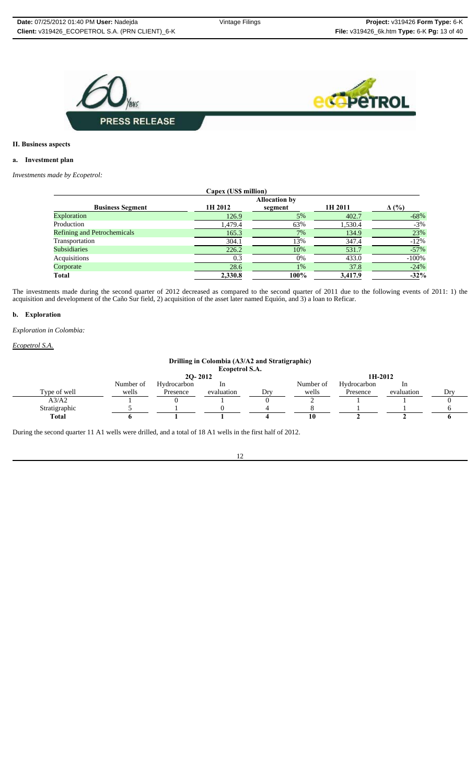

#### **II. Business aspects**

### **a. Investment plan**

*Investments made by Ecopetrol:*

| Capex (US\$ million)               |                      |         |         |              |  |  |  |  |  |
|------------------------------------|----------------------|---------|---------|--------------|--|--|--|--|--|
|                                    | <b>Allocation by</b> |         |         |              |  |  |  |  |  |
| <b>Business Segment</b>            | 1H 2012              | segment | 1H 2011 | $\Delta$ (%) |  |  |  |  |  |
| <b>Exploration</b>                 | 126.9                | 5%      | 402.7   | $-68%$       |  |  |  |  |  |
| Production                         | 1,479.4              | 63%     | 1,530.4 | $-3\%$       |  |  |  |  |  |
| <b>Refining and Petrochemicals</b> | 165.3                | 7%      | 134.9   | 23%          |  |  |  |  |  |
| Transportation                     | 304.1                | 13%     | 347.4   | $-12%$       |  |  |  |  |  |
| <b>Subsidiaries</b>                | 226.2                | 10%     | 531.7   | $-57%$       |  |  |  |  |  |
| Acquisitions                       | 0.3                  | $0\%$   | 433.0   | $-100%$      |  |  |  |  |  |
| Corporate                          | 28.6                 | $1\%$   | 37.8    | $-24%$       |  |  |  |  |  |
| <b>Total</b>                       | 2,330.8              | 100%    | 3,417.9 | $-32%$       |  |  |  |  |  |

The investments made during the second quarter of 2012 decreased as compared to the second quarter of 2011 due to the following events of 2011: 1) the acquisition and development of the Caño Sur field, 2) acquisition of the asset later named Equión, and 3) a loan to Reficar.

#### **b. Exploration**

*Exploration in Colombia:*

*Ecopetrol S.A.*

#### **Drilling in Colombia (A3/A2 and Stratigraphic) Ecopetrol S.A.**

|               | $20 - 2012$ |             |            |     | 1H-2012   |             |                |     |
|---------------|-------------|-------------|------------|-----|-----------|-------------|----------------|-----|
|               | Number of   | Hydrocarbon | 1n         |     | Number of | Hydrocarbon | <sub>1</sub> n |     |
| Type of well  | wells       | Presence    | evaluation | Drv | wells     | Presence    | evaluation     | Dry |
| A3/A2         |             |             |            |     |           |             |                |     |
| Stratigraphic |             |             |            |     |           |             |                |     |
| <b>Total</b>  |             |             |            |     |           |             |                |     |

During the second quarter 11 A1 wells were drilled, and a total of 18 A1 wells in the first half of 2012.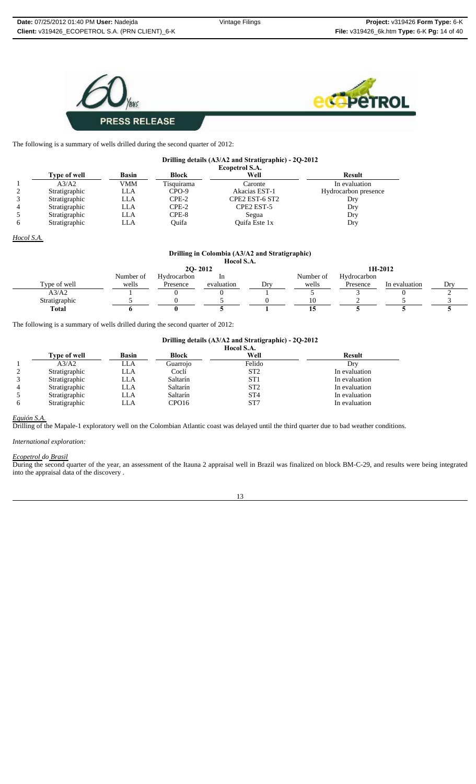



The following is a summary of wells drilled during the second quarter of 2012:

|              | Drilling details (A3/A2 and Stratigraphic) - 2Q-2012 |                       |              |                        |                      |  |  |  |  |
|--------------|------------------------------------------------------|-----------------------|--------------|------------------------|----------------------|--|--|--|--|
|              |                                                      | <b>Ecopetrol S.A.</b> |              |                        |                      |  |  |  |  |
|              | <b>Type of well</b>                                  | <b>Basin</b>          | <b>Block</b> | Well                   | <b>Result</b>        |  |  |  |  |
|              | A3/A2                                                | VMM                   | Tisquirama   | Caronte                | In evaluation        |  |  |  |  |
|              | Stratigraphic                                        | LLA                   | $CPO-9$      | Akacias EST-1          | Hydrocarbon presence |  |  |  |  |
|              | Stratigraphic                                        | LLA                   | $CPE-2$      | CPE2 EST-6 ST2         | Dry                  |  |  |  |  |
|              | Stratigraphic                                        | LLA                   | $CPE-2$      | CPE <sub>2</sub> EST-5 | Dry                  |  |  |  |  |
|              | Stratigraphic                                        | LLA                   | CPE-8        | Segua                  | Dry                  |  |  |  |  |
| <sub>(</sub> | Stratigraphic                                        | LLA                   | Ouifa        | Quifa Este 1x          | Dry                  |  |  |  |  |

*Hocol S.A.*

## **Drilling in Colombia (A3/A2 and Stratigraphic)**

|               |           |                   | Hocol S.A. |     |         |             |               |     |
|---------------|-----------|-------------------|------------|-----|---------|-------------|---------------|-----|
|               |           | $20 - 2012$       |            |     | 1H-2012 |             |               |     |
|               | Number of | Hydrocarbon<br>1n |            |     |         | Hydrocarbon |               |     |
| Type of well  | wells     | Presence          | evaluation | Dry | wells   | Presence    | In evaluation | Dry |
| A3/A2         |           |                   |            |     |         |             |               |     |
| Stratigraphic |           |                   |            |     |         |             |               |     |
| <b>Total</b>  |           |                   |            |     | . .     |             |               |     |

The following is a summary of wells drilled during the second quarter of 2012:

#### **Drilling details (A3/A2 and Stratigraphic) - 2Q-2012**

|                |               | Hocol S.A. |          |                 |               |  |  |  |
|----------------|---------------|------------|----------|-----------------|---------------|--|--|--|
|                | Type of well  | Basin      | Block    | Well            | <b>Result</b> |  |  |  |
|                | A3/A2         | LLA        | Guarrojo | Felido          | Dry           |  |  |  |
|                | Stratigraphic | LLA        | Coclí    | ST <sub>2</sub> | In evaluation |  |  |  |
|                | Stratigraphic | LLA        | Saltarín | ST <sub>1</sub> | In evaluation |  |  |  |
| $\overline{4}$ | Stratigraphic | LLA        | Saltarín | ST <sub>2</sub> | In evaluation |  |  |  |
|                | Stratigraphic | LLA        | Saltarín | ST <sub>4</sub> | In evaluation |  |  |  |
| 6              | Stratigraphic | LLA        | CPO16    | ST7             | In evaluation |  |  |  |

#### *Equión S.A.*

Drilling of the Mapale-1 exploratory well on the Colombian Atlantic coast was delayed until the third quarter due to bad weather conditions.

## *International exploration:*

#### *Ecopetrol do Brasil*

During the second quarter of the year, an assessment of the Itauna 2 appraisal well in Brazil was finalized on block BM-C-29, and results were being integrated into the appraisal data of the discovery .

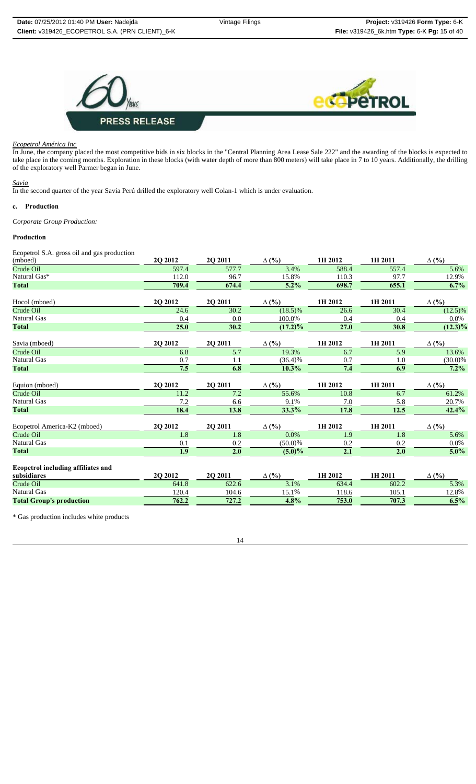

#### *Ecopetrol América Inc*

In June, the company placed the most competitive bids in six blocks in the "Central Planning Area Lease Sale 222" and the awarding of the blocks is expected to take place in the coming months. Exploration in these blocks (with water depth of more than 800 meters) will take place in 7 to 10 years. Additionally, the drilling of the exploratory well Parmer began in June.

#### *Savia*

In the second quarter of the year Savia Perú drilled the exploratory well Colan-1 which is under evaluation.

#### **c. Production**

*Corporate Group Production:*

## **Production**

Ecopetrol S.A. gross oil and gas production

| 2Q 2012 | 2Q 2011 | $\Delta$ (%) | 1H 2012           | 1H 2011           | $\Delta$ (%)       |
|---------|---------|--------------|-------------------|-------------------|--------------------|
| 597.4   | 577.7   | 3.4%         | 588.4             | 557.4             | 5.6%               |
| 112.0   | 96.7    | 15.8%        | 110.3             | 97.7              | 12.9%              |
| 709.4   | 674.4   | 5.2%         | 698.7             | 655.1             | 6.7%               |
|         |         |              | 1H 2012           | 1H 2011           | $\Delta$ (%)       |
| 24.6    | 30.2    | $(18.5)\%$   | 26.6              | 30.4              | $(12.5)\%$         |
| 0.4     | 0.0     | 100.0%       | 0.4               | 0.4               | $0.0\%$            |
| 25.0    | 30.2    | $(17.2)\%$   | $\overline{27.0}$ | 30.8              | $(12.3)\%$         |
| 2Q 2012 | 2Q 2011 | $\Delta$ (%) | 1H 2012           | 1H 2011           | $\Delta$ (%)       |
| 6.8     | 5.7     | 19.3%        | 6.7               | $\overline{5.9}$  | 13.6%              |
| 0.7     | 1.1     | $(36.4)\%$   | 0.7               | 1.0               | $(30.0)\%$         |
| 7.5     | 6.8     | 10.3%        | 7.4               | 6.9               | $7.2\%$            |
| 2Q 2012 | 2Q 2011 | $\Delta$ (%) | 1H 2012           | 1H 2011           | $\Delta$ (%)       |
| 11.2    | 7.2     | 55.6%        | 10.8              | 6.7               | 61.2%              |
| 7.2     | 6.6     | 9.1%         | 7.0               | 5.8               | 20.7%              |
| 18.4    | 13.8    | 33.3%        | 17.8              | $\overline{12.5}$ | 42.4%              |
| 2Q 2012 | 2Q 2011 | $\Delta$ (%) | 1H 2012           | 1H 2011           | $\Delta$ (%)       |
| 1.8     | 1.8     | $0.0\%$      | 1.9               | 1.8               | $\overline{5.6\%}$ |
| 0.1     | 0.2     | $(50.0)\%$   | 0.2               | 0.2               | $0.0\%$            |
| 1.9     | 2.0     | $(5.0)\%$    | 2.1               | 2.0               | $5.0\%$            |
|         |         |              |                   |                   |                    |
| 2Q 2012 | 2Q 2011 | $\Delta$ (%) | 1H 2012           | 1H 2011           | $\Delta$ (%)       |
| 641.8   | 622.6   | 3.1%         | 634.4             | 602.2             | 5.3%               |
| 120.4   | 104.6   | 15.1%        | 118.6             | 105.1             | 12.8%              |
| 762.2   | 727.2   | 4.8%         | 753.0             | 707.3             | 6.5%               |
|         | 2Q 2012 | 2Q 2011      | $\Delta$ (%)      |                   |                    |

\* Gas production includes white products

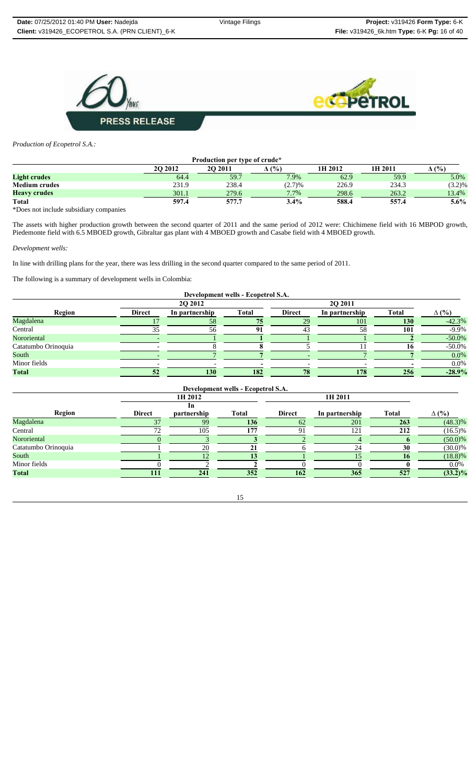



*Production of Ecopetrol S.A.:*

| Production per type of crude* |          |          |         |         |         |              |  |  |  |  |
|-------------------------------|----------|----------|---------|---------|---------|--------------|--|--|--|--|
|                               | 20 20 12 | 20 20 11 | (9/6)   | 1H 2012 | 1H 2011 | $\Delta$ (%) |  |  |  |  |
| <b>Light crudes</b>           | 64.4     | 59.7     | 7.9%    | 62.9    | 59.9    | 5.0%         |  |  |  |  |
| <b>Medium crudes</b>          | 231.9    | 238.4    | (2.7)%  | 226.9   | 234.3   | (3.2)%       |  |  |  |  |
| <b>Heavy crudes</b>           | 301.1    | 279.6    | $7.7\%$ | 298.6   | 263.2   | 13.4%        |  |  |  |  |
| Total                         | 597.4    | 577.7    | $3.4\%$ | 588.4   | 557.4   | 5.6%         |  |  |  |  |

\*Does not include subsidiary companies

The assets with higher production growth between the second quarter of 2011 and the same period of 2012 were: Chichimene field with 16 MBPOD growth, Piedemonte field with 6.5 MBOED growth, Gibraltar gas plant with 4 MBOED growth and Casabe field with 4 MBOED growth.

#### *Development wells:*

In line with drilling plans for the year, there was less drilling in the second quarter compared to the same period of 2011.

The following is a summary of development wells in Colombia:

| Development wells - Ecopetrol S.A. |               |                |              |               |                |              |              |  |  |  |  |
|------------------------------------|---------------|----------------|--------------|---------------|----------------|--------------|--------------|--|--|--|--|
|                                    |               | <b>2O 2012</b> |              |               | <b>20 2011</b> |              |              |  |  |  |  |
| Region                             | <b>Direct</b> | In partnership | <b>Total</b> | <b>Direct</b> | In partnership | <b>Total</b> | $\Delta$ (%) |  |  |  |  |
| Magdalena                          |               | 58             | 75           | 29            | 101            | 130          | $-42.3%$     |  |  |  |  |
| Central                            |               | 56             | 91           | 43            | 58             | 101          | $-9.9\%$     |  |  |  |  |
| Nororiental                        |               |                |              |               |                |              | $-50.0\%$    |  |  |  |  |
| Catatumbo Orinoquia                |               |                |              |               |                |              | $-50.0\%$    |  |  |  |  |
| South                              |               |                |              |               |                |              | $0.0\%$      |  |  |  |  |
| Minor fields                       |               |                |              |               |                |              | $0.0\%$      |  |  |  |  |
| <b>Total</b>                       |               | 130            | 182          | 78            | 178            | 256          | $-28.9%$     |  |  |  |  |

| Development wells - Ecopetrol S.A. |               |             |       |                |                |              |              |  |  |  |  |
|------------------------------------|---------------|-------------|-------|----------------|----------------|--------------|--------------|--|--|--|--|
|                                    |               | 1H 2012     |       |                | 1H 2011        |              |              |  |  |  |  |
|                                    |               | 1n          |       |                |                |              |              |  |  |  |  |
| Region                             | <b>Direct</b> | partnership | Total | <b>Direct</b>  | In partnership | <b>Total</b> | $\Delta$ (%) |  |  |  |  |
| Magdalena                          |               | 99          | 136   | 62             | 201            | 263          | $(48.3)\%$   |  |  |  |  |
| Central                            |               | 105         | 177   | Q <sub>1</sub> | 121            | 212          | $(16.5)\%$   |  |  |  |  |
| Nororiental                        |               |             |       |                |                |              | $(50.0)\%$   |  |  |  |  |
| Catatumbo Orinoquia                |               | 20          |       |                | 24             | 30           | $(30.0)\%$   |  |  |  |  |
| South                              |               |             |       |                |                | 16           | $(18.8)\%$   |  |  |  |  |
| Minor fields                       |               |             |       |                |                |              | $0.0\%$      |  |  |  |  |
| <b>Total</b>                       | 111           | 241         | 352   | 162            | 365            | 527          | $(33.2)\%$   |  |  |  |  |

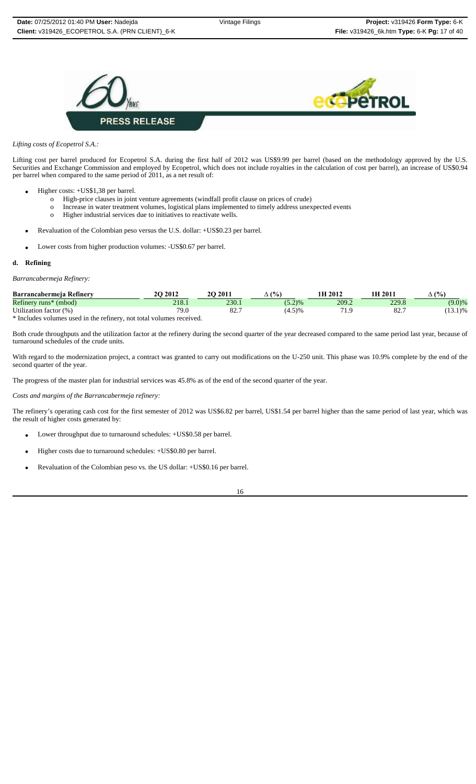



## *Lifting costs of Ecopetrol S.A.:*

Lifting cost per barrel produced for Ecopetrol S.A. during the first half of 2012 was US\$9.99 per barrel (based on the methodology approved by the U.S. Securities and Exchange Commission and employed by Ecopetrol, which does not include royalties in the calculation of cost per barrel), an increase of US\$0.94 per barrel when compared to the same period of 2011, as a net result of:

- Higher costs: +US\$1,38 per barrel.
	- o High-price clauses in joint venture agreements (windfall profit clause on prices of crude)
	- o Increase in water treatment volumes, logistical plans implemented to timely address unexpected events
	- o Higher industrial services due to initiatives to reactivate wells.
	- Revaluation of the Colombian peso versus the U.S. dollar: +US\$0.23 per barrel.
- Lower costs from higher production volumes: -US\$0.67 per barrel.

#### **d. Refining**

## *Barrancabermeja Refinery:*

| Barrancabermeia Refinerv                                            | $\cdot$ 2012 | $\binom{2011}{ }$ | $\frac{(0)}{0}$ | 1H 2012   | 1H 201° | $(%^{0})^{2}$ |
|---------------------------------------------------------------------|--------------|-------------------|-----------------|-----------|---------|---------------|
| Refinery runs <sup>*</sup> (mbod)                                   | 218.1        | 230.1             | (5.2)%          | 209.2     | 229.8   | (9.0)%        |
| Utilization factor (%)                                              |              | 82.               | (4.5)%          | $-1$<br>. |         | 13.1)%        |
| * Includes volumes used in the refinery not total volumes researced |              |                   |                 |           |         |               |

Includes volumes used in the refinery, not total volumes received.

Both crude throughputs and the utilization factor at the refinery during the second quarter of the year decreased compared to the same period last year, because of turnaround schedules of the crude units.

With regard to the modernization project, a contract was granted to carry out modifications on the U-250 unit. This phase was 10.9% complete by the end of the second quarter of the year.

The progress of the master plan for industrial services was 45.8% as of the end of the second quarter of the year.

*Costs and margins of the Barrancabermeja refinery:*

The refinery's operating cash cost for the first semester of 2012 was US\$6.82 per barrel, US\$1.54 per barrel higher than the same period of last year, which was the result of higher costs generated by:

- Lower throughput due to turnaround schedules: +US\$0.58 per barrel.
- Higher costs due to turnaround schedules: +US\$0.80 per barrel.
- Revaluation of the Colombian peso vs. the US dollar: +US\$0.16 per barrel.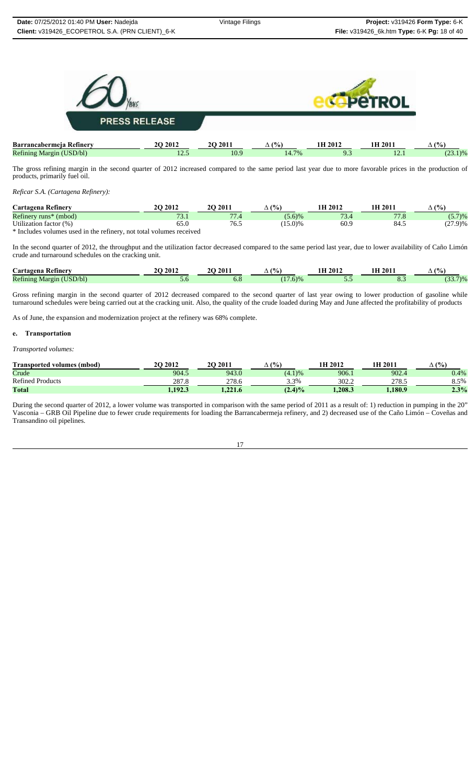

|                               |  | The gross refining margin in the second quarter of 2012 increased compared to the same period last year due to more favorable prices in the production of |  |  |  |  |  |  |  |  |
|-------------------------------|--|-----------------------------------------------------------------------------------------------------------------------------------------------------------|--|--|--|--|--|--|--|--|
| products, primarily fuel oil. |  |                                                                                                                                                           |  |  |  |  |  |  |  |  |

*Reficar S.A. (Cartagena Refinery):*

| Cartagena Refinery            | 2012            | 2011                | (0/<br>$\gamma_0$<br>$\Delta$ | 1H 2012           | 1H 2011           | (%                 |
|-------------------------------|-----------------|---------------------|-------------------------------|-------------------|-------------------|--------------------|
| Refinery runs*<br>(mbod)      | $\sqrt{2}$<br>. | $\overline{a}$<br>. | (5.6)%                        | $\sqrt{2}$<br>D.4 | $\overline{1}$ .0 | (5.7)%             |
| Utilization.<br>(0)<br>factor | ししい             | 7 U.J               | 15.0)%                        | 60.9              | 84.5              | (27.0)<br>(21.9170 |
| <b>J.T.</b>                   | .               |                     |                               |                   |                   |                    |

\* Includes volumes used in the refinery, not total volumes received

In the second quarter of 2012, the throughput and the utilization factor decreased compared to the same period last year, due to lower availability of Caño Limón crude and turnaround schedules on the cracking unit.

| $\sim$<br><i>Cartagena</i><br>. Ketinery                                                                        | 2012<br>" | 2011 | (9/6)                    | <b>H</b> 2012 | 1 H<br>201     | (%)<br>∸                        |
|-----------------------------------------------------------------------------------------------------------------|-----------|------|--------------------------|---------------|----------------|---------------------------------|
| Refining<br>$\mathbf{r}$ $\mathbf{r}$ $\mathbf{r}$ $\mathbf{r}$ $\mathbf{r}$ $\mathbf{r}$<br>JSD/bD<br>Vlargin- | J.U       | 0.0  | $\sim$ $\sim$<br>$(6)$ % | -             | $\mathbf{v}$ . | 7)0 <sub>6</sub><br>$\sim$<br>. |

Gross refining margin in the second quarter of 2012 decreased compared to the second quarter of last year owing to lower production of gasoline while turnaround schedules were being carried out at the cracking unit. Also, the quality of the crude loaded during May and June affected the profitability of products

As of June, the expansion and modernization project at the refinery was 68% complete.

#### **e. Transportation**

*Transported volumes:* 

| Transported volumes (mbod)      | <b>2O 2012</b> | 2011            | (%<br>∸    | 1H 2012 | 1H 2011 | (°/0)<br>$\overline{\phantom{a}}$ |
|---------------------------------|----------------|-----------------|------------|---------|---------|-----------------------------------|
| Crude                           | 904.5          | 943.0           | (4.1)%     | 906.1   | 902.4   | 0.4%                              |
| $\sim$<br>Refined<br>l Products | ם מפר<br>201.0 | 278.6           | 3.3%       | 302.2   | 210.J   | 8.5%                              |
| <b>Total</b>                    | 1.192.3        | 221.<br>1.221.0 | $(2.4) \%$ | .208.3  | .180.9  | 2.3%                              |

During the second quarter of 2012, a lower volume was transported in comparison with the same period of 2011 as a result of: 1) reduction in pumping in the 20" Vasconia – GRB Oil Pipeline due to fewer crude requirements for loading the Barrancabermeja refinery, and 2) decreased use of the Caño Limón – Coveñas and Transandino oil pipelines.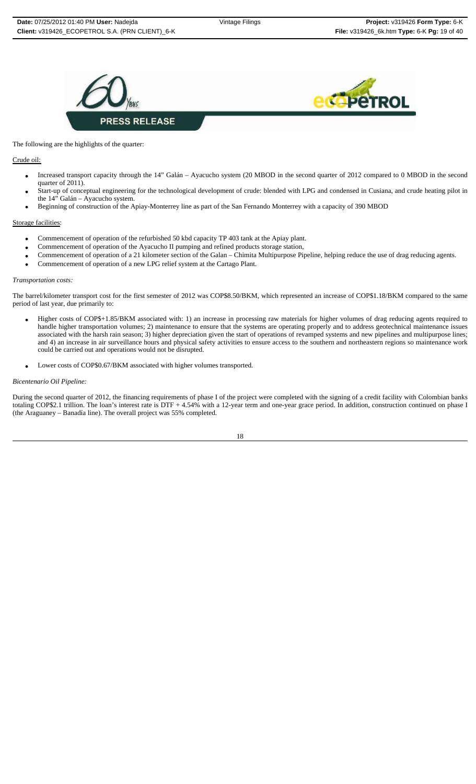



#### The following are the highlights of the quarter:

## Crude oil:

- Increased transport capacity through the 14" Galán Ayacucho system (20 MBOD in the second quarter of 2012 compared to 0 MBOD in the second quarter of 2011).
- Start-up of conceptual engineering for the technological development of crude: blended with LPG and condensed in Cusiana, and crude heating pilot in the 14" Galán – Ayacucho system.
- Beginning of construction of the Apiay-Monterrey line as part of the San Fernando Monterrey with a capacity of 390 MBOD

#### Storage facilities:

- Commencement of operation of the refurbished 50 kbd capacity TP 403 tank at the Apiay plant.
- Commencement of operation of the Ayacucho II pumping and refined products storage station,
- Commencement of operation of a 21 kilometer section of the Galan Chimita Multipurpose Pipeline, helping reduce the use of drag reducing agents.
- Commencement of operation of a new LPG relief system at the Cartago Plant.

#### *Transportation costs:*

The barrel/kilometer transport cost for the first semester of 2012 was COP\$8.50/BKM, which represented an increase of COP\$1.18/BKM compared to the same period of last year, due primarily to:

- Higher costs of COP\$+1.85/BKM associated with: 1) an increase in processing raw materials for higher volumes of drag reducing agents required to handle higher transportation volumes; 2) maintenance to ensure that the systems are operating properly and to address geotechnical maintenance issues associated with the harsh rain season; 3) higher depreciation given the start of operations of revamped systems and new pipelines and multipurpose lines; and 4) an increase in air surveillance hours and physical safety activities to ensure access to the southern and northeastern regions so maintenance work could be carried out and operations would not be disrupted.
- Lower costs of COP\$0.67/BKM associated with higher volumes transported.

#### *Bicentenario Oil Pipeline:*

During the second quarter of 2012, the financing requirements of phase I of the project were completed with the signing of a credit facility with Colombian banks totaling COP\$2.1 trillion. The loan's interest rate is DTF + 4.54% with a 12-year term and one-year grace period. In addition, construction continued on phase I (the Araguaney – Banadía line). The overall project was 55% completed.

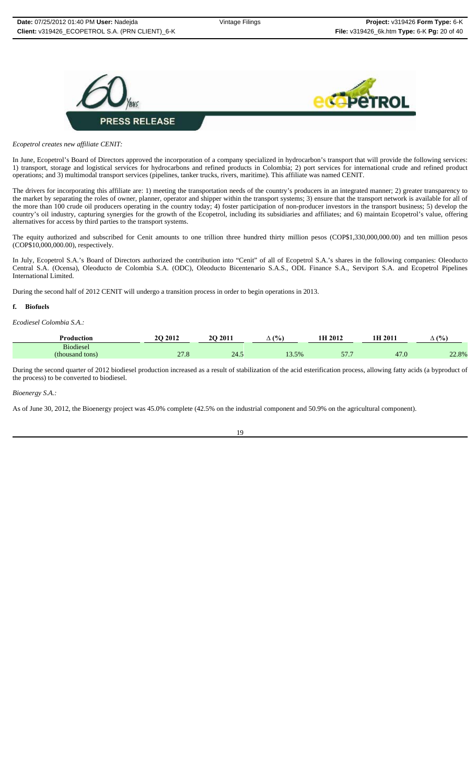



*Ecopetrol creates new affiliate CENIT:*

In June, Ecopetrol's Board of Directors approved the incorporation of a company specialized in hydrocarbon's transport that will provide the following services: 1) transport, storage and logistical services for hydrocarbons and refined products in Colombia; 2) port services for international crude and refined product operations; and 3) multimodal transport services (pipelines, tanker trucks, rivers, maritime). This affiliate was named CENIT.

The drivers for incorporating this affiliate are: 1) meeting the transportation needs of the country's producers in an integrated manner; 2) greater transparency to the market by separating the roles of owner, planner, operator and shipper within the transport systems; 3) ensure that the transport network is available for all of the more than 100 crude oil producers operating in the country today; 4) foster participation of non-producer investors in the transport business; 5) develop the country's oil industry, capturing synergies for the growth of the Ecopetrol, including its subsidiaries and affiliates; and 6) maintain Ecopetrol's value, offering alternatives for access by third parties to the transport systems.

The equity authorized and subscribed for Cenit amounts to one trillion three hundred thirty million pesos (COP\$1,330,000,000.00) and ten million pesos (COP\$10,000,000.00), respectively.

In July, Ecopetrol S.A.'s Board of Directors authorized the contribution into "Cenit" of all of Ecopetrol S.A.'s shares in the following companies: Oleoducto Central S.A. (Ocensa), Oleoducto de Colombia S.A. (ODC), Oleoducto Bicentenario S.A.S., ODL Finance S.A., Serviport S.A. and Ecopetrol Pipelines International Limited.

During the second half of 2012 CENIT will undergo a transition process in order to begin operations in 2013.

#### **f. Biofuels**

*Ecodiesel Colombia S.A.:*

| Production       | 2012 | 201.<br>20 | (9/6)<br>∸ | 2012                          | $201^{\circ}$ | (9/6) |
|------------------|------|------------|------------|-------------------------------|---------------|-------|
| <b>Biodiesel</b> |      |            |            |                               |               |       |
| (thousand tons)  | 21.0 | 24.5       | 13.5%      | $F$ $\overline{H}$<br>J I . I | 41.6          | 22.8% |

During the second quarter of 2012 biodiesel production increased as a result of stabilization of the acid esterification process, allowing fatty acids (a byproduct of the process) to be converted to biodiesel.

*Bioenergy S.A.:*

As of June 30, 2012, the Bioenergy project was 45.0% complete (42.5% on the industrial component and 50.9% on the agricultural component).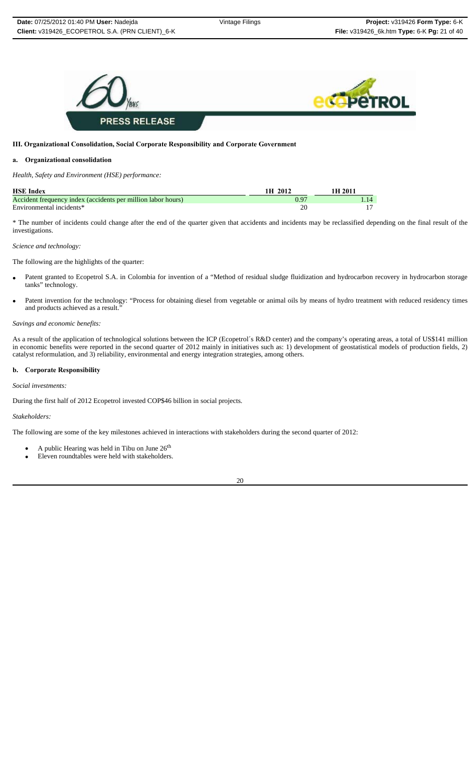

#### **III. Organizational Consolidation, Social Corporate Responsibility and Corporate Government**

## **a. Organizational consolidation**

*Health, Safety and Environment (HSE) performance:*

| <b>HSE Index</b>                                             | 2012<br>1 H | 1H 201      |
|--------------------------------------------------------------|-------------|-------------|
| Accident frequency index (accidents per million labor hours) |             | $\sqrt{14}$ |
| Environmental incidents*                                     |             |             |

\* The number of incidents could change after the end of the quarter given that accidents and incidents may be reclassified depending on the final result of the investigations.

## *Science and technology:*

The following are the highlights of the quarter:

- Patent granted to Ecopetrol S.A. in Colombia for invention of a "Method of residual sludge fluidization and hydrocarbon recovery in hydrocarbon storage tanks" technology.
- Patent invention for the technology: "Process for obtaining diesel from vegetable or animal oils by means of hydro treatment with reduced residency times and products achieved as a result.

#### *Savings and economic benefits:*

As a result of the application of technological solutions between the ICP (Ecopetrol´s R&D center) and the company's operating areas, a total of US\$141 million in economic benefits were reported in the second quarter of 2012 mainly in initiatives such as: 1) development of geostatistical models of production fields, 2) catalyst reformulation, and 3) reliability, environmental and energy integration strategies, among others.

#### **b. Corporate Responsibility**

*Social investments:* 

During the first half of 2012 Ecopetrol invested COP\$46 billion in social projects.

#### *Stakeholders:*

The following are some of the key milestones achieved in interactions with stakeholders during the second quarter of 2012:

- A public Hearing was held in Tibu on June  $26<sup>th</sup>$
- Eleven roundtables were held with stakeholders.

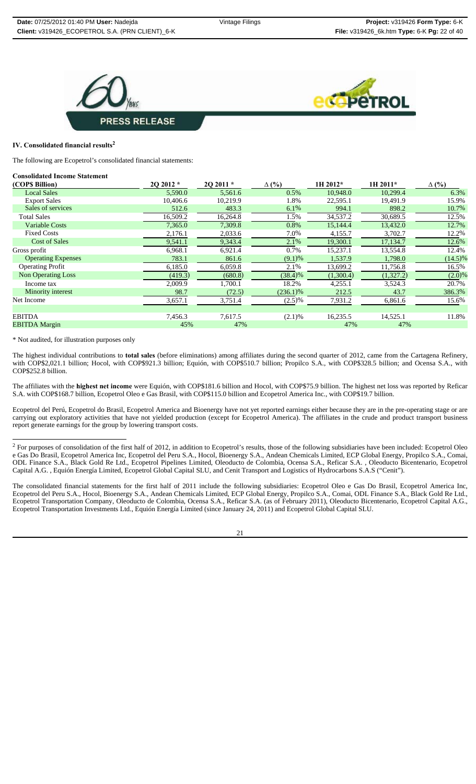



## **IV. Consolidated financial results<sup>2</sup>**

The following are Ecopetrol's consolidated financial statements:

#### **Consolidated Income Statement**

| (COPS Billion)            | 20 20 12 * | 2Q 2011 * | $\Delta$ (%) | 1H 2012*  | 1H 2011*  | $\Delta$ (%) |
|---------------------------|------------|-----------|--------------|-----------|-----------|--------------|
| <b>Local Sales</b>        | 5,590.0    | 5.561.6   | 0.5%         | 10.948.0  | 10,299.4  | 6.3%         |
| <b>Export Sales</b>       | 10,406.6   | 10,219.9  | 1.8%         | 22,595.1  | 19,491.9  | 15.9%        |
| Sales of services         | 512.6      | 483.3     | 6.1%         | 994.1     | 898.2     | 10.7%        |
| <b>Total Sales</b>        | 16,509.2   | 16,264.8  | 1.5%         | 34,537.2  | 30,689.5  | 12.5%        |
| <b>Variable Costs</b>     | 7,365.0    | 7,309.8   | 0.8%         | 15,144.4  | 13,432.0  | 12.7%        |
| <b>Fixed Costs</b>        | 2,176.1    | 2,033.6   | 7.0%         | 4,155.7   | 3,702.7   | 12.2%        |
| <b>Cost of Sales</b>      | 9,541.1    | 9,343.4   | 2.1%         | 19,300.1  | 17,134.7  | 12.6%        |
| Gross profit              | 6,968.1    | 6,921.4   | 0.7%         | 15,237.1  | 13,554.8  | 12.4%        |
| <b>Operating Expenses</b> | 783.1      | 861.6     | (9.1)%       | 1,537.9   | 1,798.0   | $(14.5)\%$   |
| <b>Operating Profit</b>   | 6,185.0    | 6,059.8   | 2.1%         | 13,699.2  | 11,756.8  | 16.5%        |
| <b>Non Operating Loss</b> | (419.3)    | (680.8)   | (38.4)%      | (1,300.4) | (1,327.2) | (2.0)%       |
| Income tax                | 2,009.9    | 1,700.1   | 18.2%        | 4,255.1   | 3,524.3   | 20.7%        |
| Minority interest         | 98.7       | (72.5)    | $(236.1)\%$  | 212.5     | 43.7      | 386.3%       |
| Net Income                | 3,657.1    | 3,751.4   | $(2.5)\%$    | 7,931.2   | 6,861.6   | 15.6%        |
|                           |            |           |              |           |           |              |
| <b>EBITDA</b>             | 7,456.3    | 7,617.5   | (2.1)%       | 16,235.5  | 14,525.1  | 11.8%        |
| <b>EBITDA Margin</b>      | 45%        | 47%       |              | 47%       | 47%       |              |

\* Not audited, for illustration purposes only

The highest individual contributions to **total sales** (before eliminations) among affiliates during the second quarter of 2012, came from the Cartagena Refinery, with COP\$2,021.1 billion; Hocol, with COP\$921.3 billion; Equión, with COP\$510.7 billion; Propilco S.A., with COP\$328.5 billion; and Ocensa S.A., with COP\$252.8 billion.

The affiliates with the **highest net income** were Equión, with COP\$181.6 billion and Hocol, with COP\$75.9 billion. The highest net loss was reported by Reficar S.A. with COP\$168.7 billion, Ecopetrol Oleo e Gas Brasil, with COP\$115.0 billion and Ecopetrol America Inc., with COP\$19.7 billion.

Ecopetrol del Perú, Ecopetrol do Brasil, Ecopetrol America and Bioenergy have not yet reported earnings either because they are in the pre-operating stage or are carrying out exploratory activities that have not yielded production (except for Ecopetrol America). The affiliates in the crude and product transport business report generate earnings for the group by lowering transport costs.

The consolidated financial statements for the first half of 2011 include the following subsidiaries: Ecopetrol Oleo e Gas Do Brasil, Ecopetrol America Inc, Ecopetrol del Peru S.A., Hocol, Bioenergy S.A., Andean Chemicals Limited, ECP Global Energy, Propilco S.A., Comai, ODL Finance S.A., Black Gold Re Ltd., Ecopetrol Transportation Company, Oleoducto de Colombia, Ocensa S.A., Reficar S.A. (as of February 2011), Oleoducto Bicentenario, Ecopetrol Capital A.G., Ecopetrol Transportation Investments Ltd., Equión Energía Limited (since January 24, 2011) and Ecopetrol Global Capital SLU.

 $2$  For purposes of consolidation of the first half of 2012, in addition to Ecopetrol's results, those of the following subsidiaries have been included: Ecopetrol Oleo e Gas Do Brasil, Ecopetrol America Inc, Ecopetrol del Peru S.A., Hocol, Bioenergy S.A., Andean Chemicals Limited, ECP Global Energy, Propilco S.A., Comai, ODL Finance S.A., Black Gold Re Ltd., Ecopetrol Pipelines Limited, Oleoducto de Colombia, Ocensa S.A., Reficar S.A. , Oleoducto Bicentenario, Ecopetrol Capital A.G. , Equión Energía Limited, Ecopetrol Global Capital SLU, and Cenit Transport and Logistics of Hydrocarbons S.A.S ("Cenit").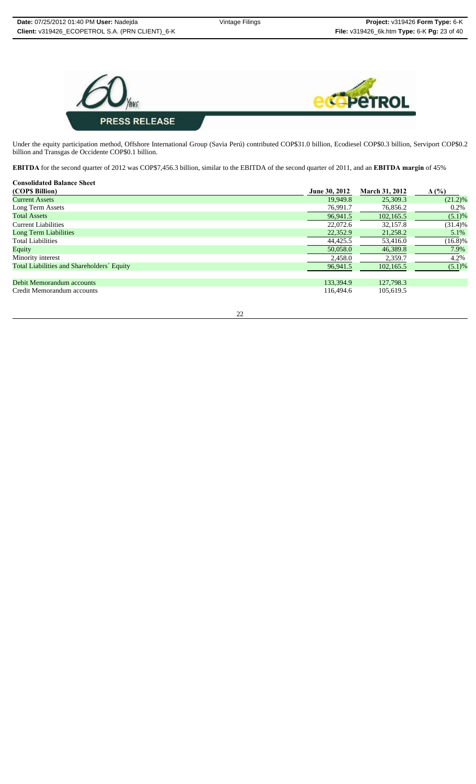

Under the equity participation method, Offshore International Group (Savia Perú) contributed COP\$31.0 billion, Ecodiesel COP\$0.3 billion, Serviport COP\$0.2 billion and Transgas de Occidente COP\$0.1 billion.

**EBITDA** for the second quarter of 2012 was COP\$7,456.3 billion, similar to the EBITDA of the second quarter of 2011, and an **EBITDA margin** of 45%

| <b>Consolidated Balance Sheet</b>          |               |                       |              |
|--------------------------------------------|---------------|-----------------------|--------------|
| (COP\$ Billion)                            | June 30, 2012 | <b>March 31, 2012</b> | $\Delta$ (%) |
| <b>Current Assets</b>                      | 19.949.8      | 25,309.3              | $(21.2)\%$   |
| Long Term Assets                           | 76,991.7      | 76,856.2              | 0.2%         |
| <b>Total Assets</b>                        | 96,941.5      | 102,165.5             | $(5.1)\%$    |
| Current Liabilities                        | 22,072.6      | 32,157.8              | $(31.4)\%$   |
| <b>Long Term Liabilities</b>               | 22,352.9      | 21,258.2              | 5.1%         |
| <b>Total Liabilities</b>                   | 44,425.5      | 53,416.0              | $(16.8)\%$   |
| Equity                                     | 50,058.0      | 46.389.8              | 7.9%         |
| Minority interest                          | 2,458.0       | 2,359.7               | 4.2%         |
| Total Liabilities and Shareholders' Equity | 96,941.5      | 102,165.5             | (5.1)%       |
| Debit Memorandum accounts                  | 133,394.9     | 127,798.3             |              |
| Credit Memorandum accounts                 | 116,494.6     | 105,619.5             |              |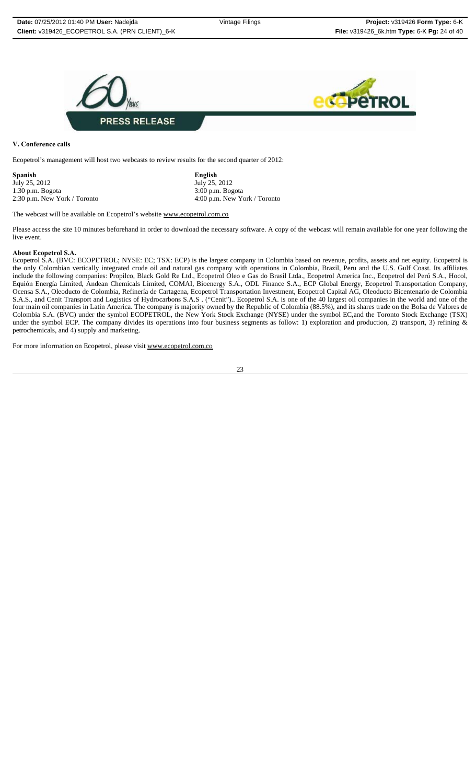

**V. Conference calls** 

Ecopetrol's management will host two webcasts to review results for the second quarter of 2012:

**Spanish English** July 25, 2012<br>1:30 p.m. Bogota 3:00 p.m. Bogota 1:30 p.m. Bogota<br>
2:30 p.m. New York / Toronto 4:00 p.m. New York / Toronto 4:00 p.m. New York

2:30 p.m. New York / Toronto 4:00 p.m. New York / Toronto

The webcast will be available on Ecopetrol's website www.ecopetrol.com.co

Please access the site 10 minutes beforehand in order to download the necessary software. A copy of the webcast will remain available for one year following the live event.

#### **About Ecopetrol S.A.**

Ecopetrol S.A. (BVC: ECOPETROL; NYSE: EC; TSX: ECP) is the largest company in Colombia based on revenue, profits, assets and net equity. Ecopetrol is the only Colombian vertically integrated crude oil and natural gas company with operations in Colombia, Brazil, Peru and the U.S. Gulf Coast. Its affiliates include the following companies: Propilco, Black Gold Re Ltd., Ecopetrol Oleo e Gas do Brasil Ltda., Ecopetrol America Inc., Ecopetrol del Perú S.A., Hocol, Equión Energía Limited, Andean Chemicals Limited, COMAI, Bioenergy S.A., ODL Finance S.A., ECP Global Energy, Ecopetrol Transportation Company, Ocensa S.A., Oleoducto de Colombia, Refinería de Cartagena, Ecopetrol Transportation Investment, Ecopetrol Capital AG, Oleoducto Bicentenario de Colombia S.A.S., and Cenit Transport and Logistics of Hydrocarbons S.A.S . ("Cenit").. Ecopetrol S.A. is one of the 40 largest oil companies in the world and one of the four main oil companies in Latin America. The company is majority owned by the Republic of Colombia (88.5%), and its shares trade on the Bolsa de Valores de Colombia S.A. (BVC) under the symbol ECOPETROL, the New York Stock Exchange (NYSE) under the symbol EC,and the Toronto Stock Exchange (TSX) under the symbol ECP. The company divides its operations into four business segments as follow: 1) exploration and production, 2) transport, 3) refining & petrochemicals, and 4) supply and marketing.

For more information on Ecopetrol, please visit www.ecopetrol.com.co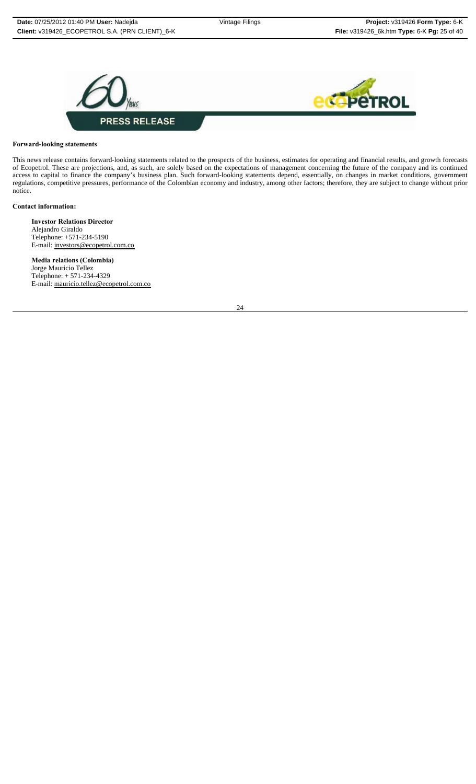



#### **Forward-looking statements**

This news release contains forward-looking statements related to the prospects of the business, estimates for operating and financial results, and growth forecasts of Ecopetrol. These are projections, and, as such, are solely based on the expectations of management concerning the future of the company and its continued access to capital to finance the company's business plan. Such forward-looking statements depend, essentially, on changes in market conditions, government regulations, competitive pressures, performance of the Colombian economy and industry, among other factors; therefore, they are subject to change without prior notice.

#### **Contact information:**

**Investor Relations Director** Alejandro Giraldo Telephone: +571-234-5190 E-mail: investors@ecopetrol.com.co

**Media relations (Colombia)** Jorge Mauricio Tellez Telephone: + 571-234-4329 E-mail: mauricio.tellez@ecopetrol.com.co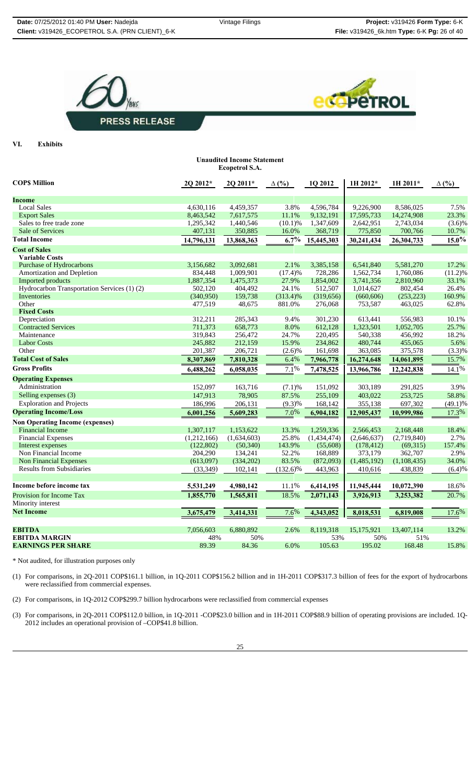**Unaudited Income Statement**





VI. **Exhibits** 

|                                             |             | <b>Ecopetrol S.A.</b> |              |             |             |             |              |
|---------------------------------------------|-------------|-----------------------|--------------|-------------|-------------|-------------|--------------|
| <b>COPS Million</b>                         | 2Q 2012*    | $20\,2011*$           | $\Delta$ (%) | 1Q 2012     | $1H 2012*$  | $1H 2011*$  | $\Delta$ (%) |
|                                             |             |                       |              |             |             |             |              |
| Income                                      |             |                       |              |             |             |             |              |
| <b>Local Sales</b>                          | 4,630,116   | 4,459,357             | 3.8%         | 4,596,784   | 9,226,900   | 8.586.025   | 7.5%         |
| <b>Export Sales</b>                         | 8,463,542   | 7,617,575             | 11.1%        | 9,132,191   | 17,595,733  | 14,274,908  | 23.3%        |
| Sales to free trade zone                    | 1,295,342   | 1,440,546             | $(10.1)\%$   | 1,347,609   | 2,642,951   | 2,743,034   | (3.6)%       |
| Sale of Services                            | 407,131     | 350,885               | 16.0%        | 368,719     | 775,850     | 700,766     | 10.7%        |
| <b>Total Income</b>                         | 14,796,131  | 13,868,363            | 6.7%         | 15,445,303  | 30,241,434  | 26,304,733  | $15.0\%$     |
| <b>Cost of Sales</b>                        |             |                       |              |             |             |             |              |
| <b>Variable Costs</b>                       |             |                       |              |             |             |             |              |
| <b>Purchase of Hydrocarbons</b>             | 3,156,682   | 3,092,681             | 2.1%         | 3,385,158   | 6,541,840   | 5,581,270   | 17.2%        |
| Amortization and Depletion                  | 834,448     | 1,009,901             | (17.4)%      | 728,286     | 1,562,734   | 1,760,086   | $(11.2)\%$   |
| <b>Imported products</b>                    | 1,887,354   | 1,475,373             | 27.9%        | 1,854,002   | 3,741,356   | 2,810,960   | 33.1%        |
| Hydrocarbon Transportation Services (1) (2) | 502,120     | 404,492               | 24.1%        | 512,507     | 1,014,627   | 802,454     | 26.4%        |
| Inventories                                 | (340,950)   | 159,738               | $(313.4)\%$  | (319, 656)  | (660, 606)  | (253, 223)  | 160.9%       |
| Other                                       | 477,519     | 48,675                | 881.0%       | 276,068     | 753,587     | 463,025     | 62.8%        |
| <b>Fixed Costs</b>                          |             |                       |              |             |             |             |              |
| Depreciation                                | 312,211     | 285,343               | 9.4%         | 301,230     | 613,441     | 556,983     | 10.1%        |
| <b>Contracted Services</b>                  | 711,373     | 658,773               | 8.0%         | 612,128     | 1,323,501   | 1,052,705   | 25.7%        |
| Maintenance                                 | 319.843     | 256,472               | 24.7%        | 220.495     | 540.338     | 456,992     | 18.2%        |
| <b>Labor Costs</b>                          | 245,882     | 212,159               | 15.9%        | 234,862     | 480,744     | 455,065     | 5.6%         |
| Other                                       | 201,387     | 206,721               | (2.6)%       | 161,698     | 363,085     | 375,578     | (3.3)%       |
| <b>Total Cost of Sales</b>                  | 8,307,869   | 7,810,328             | 6.4%         | 7,966,778   | 16,274,648  | 14,061,895  | 15.7%        |
| <b>Gross Profits</b>                        | 6,488,262   | 6,058,035             | 7.1%         | 7,478,525   | 13,966,786  | 12,242,838  | 14.1%        |
| <b>Operating Expenses</b>                   |             |                       |              |             |             |             |              |
| Administration                              | 152,097     | 163,716               | (7.1)%       | 151,092     | 303,189     | 291,825     | 3.9%         |
| Selling expenses (3)                        | 147,913     | 78,905                | 87.5%        | 255,109     | 403,022     | 253,725     | 58.8%        |
| <b>Exploration and Projects</b>             | 186,996     | 206,131               | $(9.3)\%$    | 168,142     | 355,138     | 697,302     | $(49.1)\%$   |
| <b>Operating Income/Loss</b>                | 6,001,256   | 5,609,283             | 7.0%         | 6,904,182   | 12,905,437  | 10,999,986  | 17.3%        |
| <b>Non Operating Income (expenses)</b>      |             |                       |              |             |             |             |              |
| <b>Financial Income</b>                     | 1,307,117   | 1,153,622             | 13.3%        | 1,259,336   | 2,566,453   | 2,168,448   | 18.4%        |
| <b>Financial Expenses</b>                   | (1,212,166) | (1,634,603)           | 25.8%        | (1,434,474) | (2,646,637) | (2,719,840) | 2.7%         |
| Interest expenses                           | (122, 802)  | (50, 340)             | 143.9%       | (55,608)    | (178, 412)  | (69,315)    | 157.4%       |
| Non Financial Income                        | 204,290     | 134,241               | 52.2%        | 168,889     | 373,179     | 362,707     | 2.9%         |
| <b>Non Financial Expenses</b>               | (613,097)   | (334,202)             | 83.5%        | (872,093)   | (1,485,192) | (1,108,435) | 34.0%        |
| <b>Results from Subsidiaries</b>            | (33, 349)   | 102,141               | $(132.6)\%$  | 443,963     | 410,616     | 438,839     | (6.4)%       |
|                                             |             |                       |              |             |             |             |              |
| Income before income tax                    | 5,531,249   | 4,980,142             | 11.1%        | 6,414,195   | 11,945,444  | 10,072,390  | 18.6%        |
| Provision for Income Tax                    | 1,855,770   | 1,565,811             | 18.5%        | 2,071,143   | 3,926,913   | 3,253,382   | 20.7%        |
| Minority interest                           |             |                       |              |             |             |             |              |
| <b>Net Income</b>                           | 3,675,479   | 3,414,331             | 7.6%         | 4,343,052   | 8,018,531   | 6,819,008   | 17.6%        |
|                                             |             |                       |              |             |             |             |              |
| <b>EBITDA</b>                               | 7,056,603   | 6,880,892             | 2.6%         | 8,119,318   | 15,175,921  | 13,407,114  | 13.2%        |
| <b>EBITDA MARGIN</b>                        | 48%         | 50%                   |              | 53%         | 50%         | 51%         |              |
| <b>EARNINGS PER SHARE</b>                   | 89.39       | 84.36                 | 6.0%         | 105.63      | 195.02      | 168.48      | 15.8%        |
|                                             |             |                       |              |             |             |             |              |

\* Not audited, for illustration purposes only

(1) For comparisons, in 2Q-2011 COP\$161.1 billion, in 1Q-2011 COP\$156.2 billion and in 1H-2011 COP\$317.3 billion of fees for the export of hydrocarbons were reclassified from commercial expenses.

(2) For comparisons, in 1Q-2012 COP\$299.7 billion hydrocarbons were reclassified from commercial expenses

(3) For comparisons, in 2Q-2011 COP\$112.0 billion, in 1Q-2011 -COP\$23.0 billion and in 1H-2011 COP\$88.9 billion of operating provisions are included. 1Q-2012 includes an operational provision of –COP\$41.8 billion.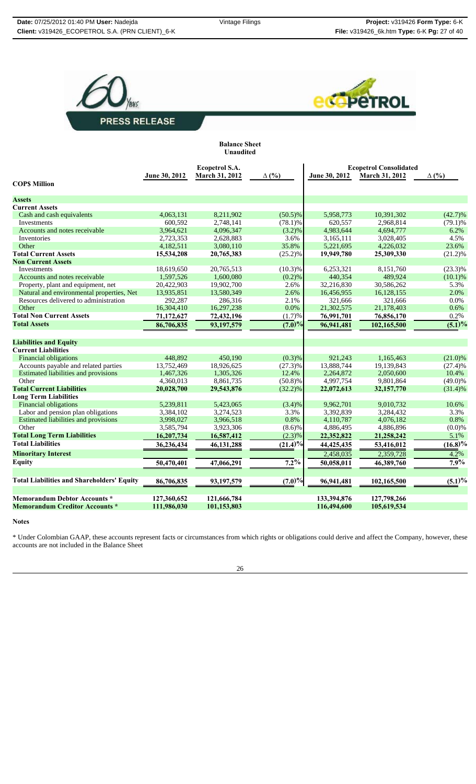



| <b>Balance Sheet</b><br>Unaudited |                               |
|-----------------------------------|-------------------------------|
| Ecopetrol S.A.<br>.               | <b>Ecopetrol Consolidated</b> |

|                                                   | June 30, 2012 | <b>March 31, 2012</b> | $\Delta$ (%) | June 30, 2012 | March 31, 2012 | $\Delta$ (%) |
|---------------------------------------------------|---------------|-----------------------|--------------|---------------|----------------|--------------|
| <b>COPS Million</b>                               |               |                       |              |               |                |              |
| <b>Assets</b>                                     |               |                       |              |               |                |              |
| <b>Current Assets</b>                             |               |                       |              |               |                |              |
| Cash and cash equivalents                         | 4,063,131     | 8,211,902             | $(50.5)\%$   | 5,958,773     | 10,391,302     | $(42.7)\%$   |
| Investments                                       | 600,592       | 2,748,141             | $(78.1)\%$   | 620,557       | 2,968,814      | $(79.1)\%$   |
| Accounts and notes receivable                     | 3,964,621     | 4,096,347             | $(3.2)\%$    | 4,983,644     | 4,694,777      | 6.2%         |
| Inventories                                       | 2,723,353     | 2,628,883             | 3.6%         | 3,165,111     | 3,028,405      | 4.5%         |
| Other                                             | 4,182,511     | 3,080,110             | 35.8%        | 5,221,695     | 4,226,032      | 23.6%        |
| <b>Total Current Assets</b>                       | 15,534,208    | 20,765,383            | $(25.2)\%$   | 19,949,780    | 25,309,330     | $(21.2)\%$   |
| <b>Non Current Assets</b>                         |               |                       |              |               |                |              |
| <b>Investments</b>                                | 18.619.650    | 20.765.513            | $(10.3)\%$   | 6.253.321     | 8.151.760      | $(23.3)\%$   |
| Accounts and notes receivable                     | 1,597,526     | 1,600,080             | (0.2)%       | 440,354       | 489,924        | $(10.1)$ %   |
| Property, plant and equipment, net                | 20.422.903    | 19.902.700            | 2.6%         | 32,216,830    | 30,586,262     | 5.3%         |
| Natural and environmental properties, Net         | 13,935,851    | 13,580,349            | 2.6%         | 16,456,955    | 16,128,155     | 2.0%         |
| Resources delivered to administration             | 292,287       | 286,316               | 2.1%         | 321,666       | 321,666        | 0.0%         |
| Other                                             | 16,304,410    | 16,297,238            | 0.0%         | 21,302,575    | 21,178,403     | 0.6%         |
| <b>Total Non Current Assets</b>                   | 71,172,627    | 72,432,196            | (1.7)%       | 76,991,701    | 76,856,170     | 0.2%         |
| <b>Total Assets</b>                               | 86,706,835    | 93,197,579            | $(7.0)\%$    | 96,941,481    | 102,165,500    | $(5.1)\%$    |
|                                                   |               |                       |              |               |                |              |
| <b>Liabilities and Equity</b>                     |               |                       |              |               |                |              |
| <b>Current Liabilities</b>                        |               |                       |              |               |                |              |
| <b>Financial obligations</b>                      | 448.892       | 450,190               | (0.3)%       | 921,243       | 1,165,463      | $(21.0)\%$   |
| Accounts payable and related parties              | 13,752,469    | 18,926,625            | $(27.3)\%$   | 13,888,744    | 19,139,843     | (27.4)%      |
| <b>Estimated liabilities and provisions</b>       | 1,467,326     | 1,305,326             | 12.4%        | 2,264,872     | 2,050,600      | 10.4%        |
| Other                                             | 4,360,013     | 8,861,735             | $(50.8)\%$   | 4,997,754     | 9,801,864      | $(49.0)\%$   |
| <b>Total Current Liabilities</b>                  | 20,028,700    | 29,543,876            | $(32.2)\%$   | 22,072,613    | 32,157,770     | $(31.4)\%$   |
| <b>Long Term Liabilities</b>                      |               |                       |              |               |                |              |
| <b>Financial obligations</b>                      | 5.239.811     | 5,423,065             | (3.4)%       | 9,962,701     | 9,010,732      | 10.6%        |
| Labor and pension plan obligations                | 3,384,102     | 3,274,523             | 3.3%         | 3,392,839     | 3,284,432      | 3.3%         |
| Estimated liabilities and provisions              | 3,998,027     | 3,966,518             | 0.8%         | 4,110,787     | 4,076,182      | 0.8%         |
| Other                                             | 3,585,794     | 3,923,306             | $(8.6)\%$    | 4,886,495     | 4,886,896      | (0.0)%       |
| <b>Total Long Term Liabilities</b>                | 16,207,734    | 16,587,412            | $(2.3)\%$    | 22,352,822    | 21,258,242     | 5.1%         |
| <b>Total Liabilities</b>                          | 36,236,434    | 46,131,288            | (21.4)%      | 44,425,435    | 53,416,012     | $(16.8)\%$   |
| <b>Minoritary Interest</b>                        |               |                       |              | 2,458,035     | 2,359,728      | 4.2%         |
| <b>Equity</b>                                     | 50,470,401    | 47,066,291            | $7.2\%$      | 50,058,011    | 46,389,760     | 7.9%         |
| <b>Total Liabilities and Shareholders' Equity</b> | 86,706,835    | 93,197,579            | $(7.0)\%$    | 96,941,481    | 102,165,500    | (5.1)%       |
| <b>Memorandum Debtor Accounts *</b>               | 127,360,652   | 121,666,784           |              | 133,394,876   | 127,798,266    |              |
| <b>Memorandum Creditor Accounts*</b>              | 111,986,030   | 101,153,803           |              | 116,494,600   | 105,619,534    |              |

#### **Notes**

\* Under Colombian GAAP, these accounts represent facts or circumstances from which rights or obligations could derive and affect the Company, however, these accounts are not included in the Balance Sheet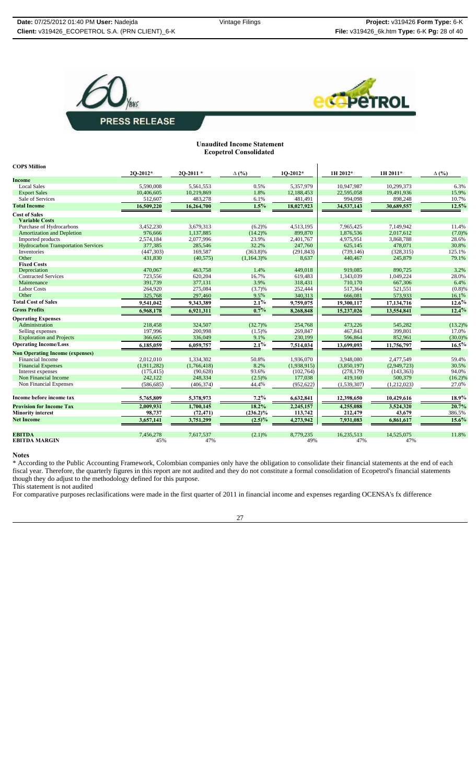



#### **Unaudited Income Statement Ecopetrol Consolidated**

| <b>COPS Million</b>                        |              |               |               |             |             |             |              |
|--------------------------------------------|--------------|---------------|---------------|-------------|-------------|-------------|--------------|
|                                            | $20 - 2012*$ | $20 - 2011$ * | $\Delta$ (%)  | $10-2012*$  | 1H 2012*    | 1H 2011*    | $\Delta$ (%) |
| Income                                     |              |               |               |             |             |             |              |
| <b>Local Sales</b>                         | 5.590.008    | 5.561.553     | 0.5%          | 5.357.979   | 10.947.987  | 10.299.373  | 6.3%         |
| <b>Export Sales</b>                        | 10,406,605   | 10,219,869    | 1.8%          | 12,188,453  | 22,595,058  | 19,491,936  | 15.9%        |
| Sale of Services                           | 512,607      | 483,278       | 6.1%          | 481,491     | 994,098     | 898,248     | 10.7%        |
| <b>Total Income</b>                        | 16,509,220   | 16,264,700    | $1.5\%$       | 18,027,923  | 34,537,143  | 30,689,557  | $12.5\%$     |
| <b>Cost of Sales</b>                       |              |               |               |             |             |             |              |
| <b>Variable Costs</b>                      |              |               |               |             |             |             |              |
| Purchase of Hydrocarbons                   | 3,452,230    | 3,679,313     | (6.2)%        | 4,513,195   | 7,965,425   | 7.149.942   | 11.4%        |
| <b>Amortization and Depletion</b>          | 976,666      | 1,137,885     | $(14.2)\%$    | 899,870     | 1.876.536   | 2.017.612   | (7.0)%       |
| Imported products                          | 2,574,184    | 2,077,996     | 23.9%         | 2,401,767   | 4,975,951   | 3,868,788   | 28.6%        |
| <b>Hydrocarbon Transportation Services</b> | 377,385      | 285,546       | 32.2%         | 247,760     | 625,145     | 478,071     | 30.8%        |
| Inventories                                | (447, 303)   | 169,587       | $(363.8)\%$   | (291, 843)  | (739.146)   | (328, 315)  | 125.1%       |
| Other                                      | 431,830      | (40, 575)     | $(1,164.3)\%$ | 8,637       | 440,467     | 245,879     | 79.1%        |
| <b>Fixed Costs</b>                         |              |               |               |             |             |             |              |
| Depreciation                               | 470,067      | 463,758       | 1.4%          | 449,018     | 919.085     | 890,725     | 3.2%         |
| <b>Contracted Services</b>                 | 723,556      | 620,204       | 16.7%         | 619,483     | 1,343,039   | 1,049,224   | 28.0%        |
| Maintenance                                | 391,739      | 377,131       | 3.9%          | 318,431     | 710.170     | 667,306     | 6.4%         |
| <b>Labor Costs</b>                         | 264,920      | 275,084       | (3.7)%        | 252,444     | 517.364     | 521.551     | (0.8)%       |
| Other                                      | 325,768      | 297,460       | 9.5%          | 340,313     | 666,081     | 573,933     | 16.1%        |
| <b>Total Cost of Sales</b>                 | 9,541,042    | 9,343,389     | 2.1%          | 9,759,075   | 19,300,117  | 17,134,716  | $12.6\%$     |
| <b>Gross Profits</b>                       | 6,968,178    | 6,921,311     | 0.7%          | 8,268,848   | 15,237,026  | 13,554,841  | $12.4\%$     |
| <b>Operating Expenses</b>                  |              |               |               |             |             |             |              |
| Administration                             | 218,458      | 324,507       | (32.7)%       | 254,768     | 473,226     | 545,282     | $(13.2)\%$   |
| Selling expenses                           | 197.996      | 200,998       | (1.5)%        | 269,847     | 467,843     | 399.801     | 17.0%        |
| <b>Exploration and Projects</b>            | 366,665      | 336,049       | 9.1%          | 230,199     | 596,864     | 852,961     | (30.0)%      |
| <b>Operating Income/Loss</b>               | 6,185,059    | 6,059,757     | $2.1\%$       | 7,514,034   | 13,699,093  | 11,756,797  | 16.5%        |
| <b>Non Operating Income (expenses)</b>     |              |               |               |             |             |             |              |
| Financial Income                           | 2,012,010    | 1.334.302     | 50.8%         | 1,936,070   | 3.948.080   | 2.477.549   | 59.4%        |
| <b>Financial Expenses</b>                  | (1,911,282)  | (1,766,418)   | 8.2%          | (1,938,915) | (3,850,197) | (2,949,723) | 30.5%        |
| Interest expenses                          | (175, 415)   | (90, 628)     | 93.6%         | (102, 764)  | (278, 179)  | (143, 363)  | 94.0%        |
| Non Financial Income                       | 242,122      | 248,334       | (2.5)%        | 177,038     | 419,160     | 500,379     | $(16.2)\%$   |
| Non Financial Expenses                     | (586, 685)   | (406, 374)    | 44.4%         | (952, 622)  | (1,539,307) | (1,212,023) | 27.0%        |
| Income before income tax                   | 5,765,809    | 5,378,973     | $7.2\%$       | 6,632,841   | 12,398,650  | 10,429,616  | $18.9\%$     |
| <b>Provision for Income Tax</b>            | 2,009,931    | 1,700,145     | 18.2%         | 2,245,157   | 4,255,088   | 3,524,320   | 20.7%        |
| <b>Minority interest</b>                   | 98,737       | (72, 471)     | $(236.2)\%$   | 113,742     | 212,479     | 43,679      | 386.5%       |
| <b>Net Income</b>                          | 3,657,141    | 3,751,299     | $(2.5)\%$     | 4,273,942   | 7,931,083   | 6,861,617   | $15.6\%$     |
|                                            |              |               |               |             |             |             |              |
| <b>EBITDA</b>                              | 7,456,278    | 7.617.537     | (2.1)%        | 8.779.235   | 16,235,513  | 14,525,075  | 11.8%        |
| <b>EBITDA MARGIN</b>                       | 45%          | 47%           |               | 49%         | 47%         | 47%         |              |

#### **Notes**

\* According to the Public Accounting Framework, Colombian companies only have the obligation to consolidate their financial statements at the end of each fiscal year. Therefore, the quarterly figures in this report are not audited and they do not constitute a formal consolidation of Ecopetrol's financial statements though they do adjust to the methodology defined for this purpose. This statement is not audited

For comparative purposes reclasifications were made in the first quarter of 2011 in financial income and expenses regarding OCENSA's fx difference

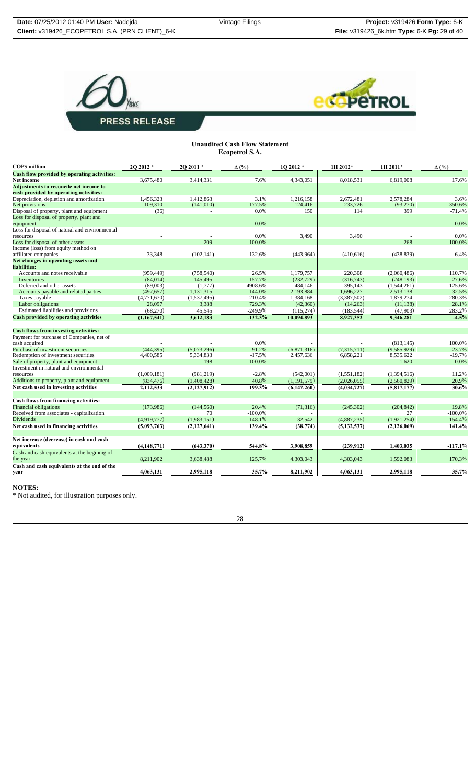



#### **Unaudited Cash Flow Statement Ecopetrol S.A.**

| <b>COPS</b> million                                                       | 20 20 12 *    | 20 20 11 *  | $\Delta$ (%) | 10 2012 *   | 1H 2012*      | 1H 2011*      | $\Delta$ (%)       |
|---------------------------------------------------------------------------|---------------|-------------|--------------|-------------|---------------|---------------|--------------------|
| Cash flow provided by operating activities:                               |               |             |              |             |               |               |                    |
| <b>Net income</b>                                                         | 3,675,480     | 3,414,331   | 7.6%         | 4,343,051   | 8,018,531     | 6,819,008     | 17.6%              |
| Adjustments to reconcile net income to                                    |               |             |              |             |               |               |                    |
| cash provided by operating activities:                                    |               |             |              |             |               |               |                    |
| Depreciation, depletion and amortization                                  | 1,456,323     | 1,412,863   | 3.1%         | 1,216,158   | 2,672,481     | 2,578,284     | 3.6%               |
| Net provisions                                                            | 109,310       | (141,010)   | 177.5%       | 124,416     | 233,726       | (93,270)      | 350.6%             |
| Disposal of property, plant and equipment                                 | (36)          |             | 0.0%         | 150         | 114           | 399           | $-71.4%$           |
| Loss for disposal of property, plant and                                  |               |             |              |             |               |               |                    |
| equipment                                                                 |               |             | 0.0%         |             |               |               | 0.0%               |
| Loss for disposal of natural and environmental                            |               |             |              |             |               |               |                    |
| resources                                                                 |               |             | 0.0%         | 3,490       | 3,490         |               | 0.0%               |
| Loss for disposal of other assets                                         |               | 209         | $-100.0\%$   |             |               | 268           | $-100.0%$          |
| Income (loss) from equity method on                                       |               |             |              |             |               |               |                    |
| affiliated companies                                                      | 33,348        | (102, 141)  | 132.6%       | (443,964)   | (410, 616)    | (438, 839)    | 6.4%               |
| Net changes in operating assets and<br>liabilities:                       |               |             |              |             |               |               |                    |
| Accounts and notes receivable                                             | (959, 449)    | (758, 540)  | 26.5%        | 1,179,757   | 220,308       | (2,060,486)   | 110.7%             |
| Inventories                                                               | (84,014)      | 145,495     | $-157.7%$    | (232, 729)  | (316, 743)    | (248, 193)    | 27.6%              |
| Deferred and other assets                                                 | (89,003)      | (1,777)     | 4908.6%      | 484,146     | 395,143       | (1,544,261)   | 125.6%             |
| Accounts payable and related parties                                      | (497, 657)    | 1,131,315   | $-144.0%$    | 2,193,884   | 1,696,227     | 2,513,138     | $-32.5%$           |
| Taxes payable                                                             | (4,771,670)   | (1,537,495) | 210.4%       | 1,384,168   | (3,387,502)   | 1,879,274     | $-280.3%$          |
| Labor obligations                                                         | 28,097        | 3,388       | 729.3%       | (42,360)    | (14,263)      | (11, 138)     | 28.1%              |
| Estimated liabilities and provisions                                      | (68,270)      | 45,545      | $-249.9%$    | (115, 274)  | (183, 544)    | (47,903)      | 283.2%             |
| <b>Cash provided by operating activities</b>                              | (1,167,541)   | 3,612,183   | $-132.3%$    | 10,094,893  | 8,927,352     | 9,346,281     | $-4.5%$            |
|                                                                           |               |             |              |             |               |               |                    |
| <b>Cash flows from investing activities:</b>                              |               |             |              |             |               |               |                    |
| Payment for purchase of Companies, net of                                 |               |             |              |             |               |               |                    |
| cash acquired                                                             |               |             | 0.0%         |             |               | (813, 145)    | 100.0%             |
| Purchase of investment securities                                         | (444, 395)    | (5,073,296) | 91.2%        | (6,871,316) | (7,315,711)   | (9,585,929)   | 23.7%              |
| Redemption of investment securities                                       | 4,400,585     | 5,334,833   | $-17.5%$     | 2,457,636   | 6,858,221     | 8,535,622     | $-19.7%$           |
| Sale of property, plant and equipment                                     |               | 198         | $-100.0\%$   |             |               | 1,620         | 0.0%               |
| Investment in natural and environmental                                   |               | (981, 219)  | $-2.8%$      | (542,001)   |               |               | 11.2%              |
| resources                                                                 | (1,009,181)   |             |              |             | (1, 551, 182) | (1,394,516)   |                    |
| Additions to property, plant and equipment                                | (834, 476)    | (1,408,428) | 40.8%        | (1,191,579) | (2,026,055)   | (2,560,829)   | 20.9%              |
| Net cash used in investing activities                                     | 2,112,533     | (2,127,912) | $199.3\%$    | (6,147,260) | (4,034,727)   | (5,817,177)   | 30.6%              |
|                                                                           |               |             |              |             |               |               |                    |
| Cash flows from financing activities:                                     |               | (144, 560)  | 20.4%        |             |               | (204, 842)    |                    |
| <b>Financial obligations</b><br>Received from associates - capitalization | (173,986)     | 70          | $-100.0%$    | (71, 316)   | (245, 302)    | 27            | 19.8%<br>$-100.0%$ |
| Dividends                                                                 |               |             |              |             |               |               |                    |
|                                                                           | (4,919,777)   | (1,983,151) | 148.1%       | 32,542      | (4,887,235)   | (1,921,254)   | 154.4%<br>141.4%   |
| Net cash used in financing activities                                     | (5,093,763)   | (2,127,641) | 139.4%       | (38, 774)   | (5, 132, 537) | (2, 126, 069) |                    |
| Net increase (decrease) in cash and cash                                  |               |             |              |             |               |               |                    |
| equivalents                                                               | (4, 148, 771) | (643, 370)  | 544.8%       | 3,908,859   | (239, 912)    | 1,403,035     | $-117.1%$          |
|                                                                           |               |             |              |             |               |               |                    |
| Cash and cash equivalents at the beginnig of                              |               |             |              |             |               |               |                    |
| the year                                                                  | 8,211,902     | 3,638,488   | 125.7%       | 4,303,043   | 4,303,043     | 1,592,083     | 170.3%             |
| Cash and cash equivalents at the end of the                               |               | 2,995,118   |              |             | 4,063,131     | 2,995,118     |                    |
| year                                                                      | 4,063,131     |             | 35.7%        | 8,211,902   |               |               | 35.7%              |

**NOTES:**

\* Not audited, for illustration purposes only.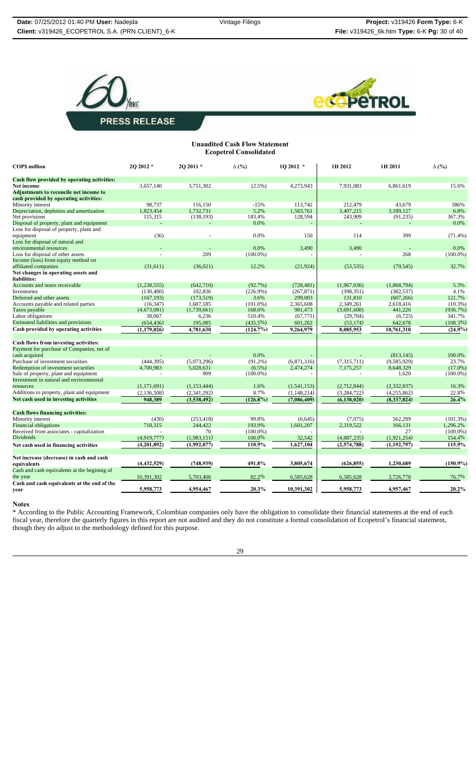



**Unaudited Cash Flow Statement Ecopetrol Consolidated**

| <b>COPS</b> million                                                                     | 2Q 2012 *     | 20 20 11 *    | $\Delta$ (%) | 10 2012 *     | 1H 2012       | 1H 2011       | $\Delta$ (%) |
|-----------------------------------------------------------------------------------------|---------------|---------------|--------------|---------------|---------------|---------------|--------------|
| Cash flow provided by operating activities:                                             |               |               |              |               |               |               |              |
| Net income                                                                              | 3,657,140     | 3.751.302     | $(2.5\%)$    | 4,273,943     | 7.931.083     | 6.861.619     | 15.6%        |
| <b>Adjustments to reconcile net income to</b><br>cash provided by operating activities: |               |               |              |               |               |               |              |
| Minority interest                                                                       | 98,737        | 116,150       | $-15%$       | 113,742       | 212,479       | 43,679        | 386%         |
| Depreciation, depletion and amortization                                                | 1,823,454     | 1,732,731     | 5.2%         | 1,583,761     | 3,407,215     | 3,189,127     | 6.8%         |
| Net provisions                                                                          | 115,315       | (138, 193)    | 183.4%       | 128,594       | 243,909       | (91, 235)     | 367.3%       |
| Disposal of property, plant and equipment                                               |               |               | 0.0%         |               |               |               | 0.0%         |
| Loss for disposal of property, plant and                                                |               |               |              |               |               |               |              |
| equipment                                                                               | (36)          |               | 0.0%         | 150           | 114           | 399           | $(71.4\%)$   |
| Loss for disposal of natural and                                                        |               |               |              |               |               |               |              |
| environmental resources                                                                 |               |               | 0.0%         | 3,490         | 3,490         |               | 0.0%         |
| Loss for disposal of other assets                                                       |               | 209           | $(100.0\%)$  |               |               | 268           | $(100.0\%)$  |
| Income (loss) from equity method on<br>affiliated companies                             | (31,611)      | (36,021)      | 12.2%        | (21, 924)     | (53, 535)     | (79, 545)     | 32.7%        |
| Net changes in operating assets and<br>liabilities:                                     |               |               |              |               |               |               |              |
| Accounts and notes receivable                                                           | (1, 238, 555) | (642,710)     | (92.7%)      | (728, 481)    | (1,967,036)   | (1,868,794)   | 5.3%         |
| Inventories                                                                             | (130, 480)    | 102,836       | (226.9%)     | (267, 871)    | (398, 351)    | (382, 537)    | 4.1%         |
| Deferred and other assets                                                               | (167, 193)    | (173, 519)    | 3.6%         | 299,003       | 131,810       | (607, 266)    | 121.7%       |
| Accounts payable and related parties                                                    | (16, 347)     | 1,607,185     | $(101.0\%)$  | 2,365,608     | 2,349,261     | 2,618,416     | $(10.3\%)$   |
| Taxes payable                                                                           | (4,673,081)   | (1,739,661)   | 168.6%       | 981,473       | (3,691,608)   | 441,226       | (936.7%)     |
| Labor obligations                                                                       | 38,067        | 6,236         | 510.4%       | (67, 771)     | (29,704)      | (6, 725)      | 341.7%       |
| <b>Estimated liabilities and provisions</b>                                             | (654, 436)    | 195,085       | (435.5%)     | 601,262       | (53, 174)     | 642,678       | (108.3%)     |
| Cash provided by operating activities                                                   | (1, 179, 026) | 4,781,630     | (124.7%)     | 9,264,979     | 8,085,953     | 10,761,310    | $(24.9\%)$   |
|                                                                                         |               |               |              |               |               |               |              |
| Cash flows from investing activities:                                                   |               |               |              |               |               |               |              |
| Payment for purchase of Companies, net of                                               |               |               |              |               |               |               |              |
| cash acquired                                                                           |               |               | 0.0%         |               |               | (813, 145)    | 100.0%       |
| Purchase of investment securities                                                       | (444, 395)    | (5,073,296)   | $(91.2\%)$   | (6,871,316)   | (7,315,711)   | (9,585,929)   | 23.7%        |
| Redemption of investment securities                                                     | 4,700,983     | 5,028,631     | $(6.5\%)$    | 2,474,274     | 7,175,257     | 8,648,329     | $(17.0\%)$   |
| Sale of property, plant and equipment                                                   |               | 909           | $(100.0\%)$  |               |               | 1,620         | $(100.0\%)$  |
| Investment in natural and environmental                                                 |               |               |              |               |               |               |              |
| resources                                                                               | (1,171,691)   | (1, 153, 444) | 1.6%         | (1,541,153)   | (2,712,844)   | (2,332,837)   | 16.3%        |
| Additions to property, plant and equipment                                              | (2, 136, 508) | (2, 341, 292) | 8.7%         | (1, 148, 214) | (3, 284, 722) | (4,255,862)   | 22.8%        |
| Net cash used in investing activities                                                   | 948,389       | (3,538,492)   | $(126.8\%)$  | (7,086,409)   | (6, 138, 020) | (8,337,824)   | 26.4%        |
| <b>Cash flows financing activities:</b>                                                 |               |               |              |               |               |               |              |
| Minority interest                                                                       | (430)         | (253, 418)    | 99.8%        | (6,645)       | (7,075)       | 562.299       | (101.3%)     |
| <b>Financial obligations</b>                                                            | 718,315       | 244,422       | 193.9%       | 1,601,207     | 2,319,522     | 166.131       | 1,296.2%     |
| Received from associates - capitalization                                               |               | 70            | $(100.0\%)$  |               |               | 27            | $(100.0\%)$  |
| Dividends                                                                               | (4,919,777)   | (1,983,151)   | 100.0%       | 32,542        | (4,887,235)   | (1,921,254)   | 154.4%       |
| Net cash used in financing activities                                                   | (4,201,892)   | (1,992,077)   | 110.9%       | 1,627,104     | (2,574,788)   | (1, 192, 797) | 115.9%       |
|                                                                                         |               |               |              |               |               |               |              |
| Net increase (decrease) in cash and cash                                                |               |               |              |               |               |               |              |
| equivalents                                                                             | (4, 432, 529) | (748, 939)    | 491.8%       | 3,805,674     | (626, 855)    | 1,230,689     | $(150.9\%)$  |
| Cash and cash equivalents at the beginnig of                                            |               |               |              |               |               |               |              |
| the year                                                                                | 10,391,302    | 5,703,406     | 82.2%        | 6,585,628     | 6,585,628     | 3,726,778     | 76.7%        |
| Cash and cash equivalents at the end of the                                             |               |               |              |               |               |               |              |
| vear                                                                                    | 5,958,773     | 4,954,467     | 20.3%        | 10,391,302    | 5,958,773     | 4,957,467     | 20.2%        |

**Notes**

\* According to the Public Accounting Framework, Colombian companies only have the obligation to consolidate their financial statements at the end of each fiscal year, therefore the quarterly figures in this report are not audited and they do not constitute a formal consolidation of Ecopetrol's financial statement, though they do adjust to the methodology defined for this purpose.

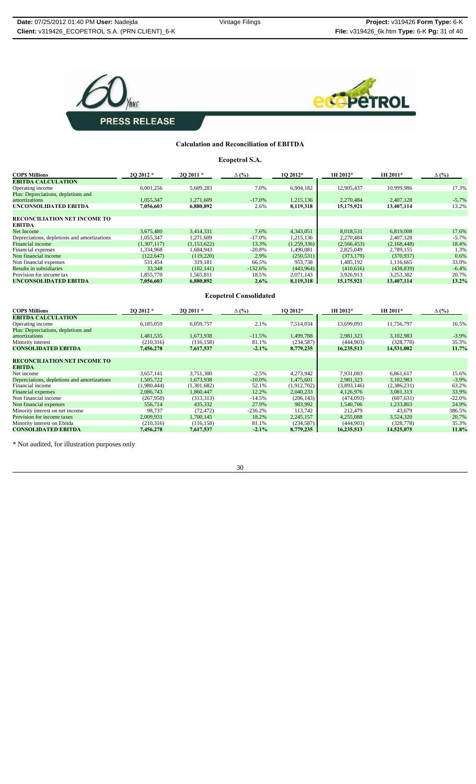



#### **Calculation and Reconciliation of EBITDA**

**Ecopetrol S.A.**

| <b>COPS Millions</b>                                 | 20 20 12 *  | 20 20 11 *  | $\Delta$ (%) | 10 2012*    | 1H 2012*    | 1H 2011*    | $\Delta$ (%) |
|------------------------------------------------------|-------------|-------------|--------------|-------------|-------------|-------------|--------------|
| <b>EBITDA CALCULATION</b>                            |             |             |              |             |             |             |              |
| Operating income                                     | 6,001,256   | 5,609,283   | 7.0%         | 6,904,182   | 12,905,437  | 10,999,986  | 17.3%        |
| Plus: Depreciations, depletions and                  |             |             |              |             |             |             |              |
| amortizations                                        | 1,055,347   | 1.271.609   | $-17.0%$     | 1,215,136   | 2,270,484   | 2,407,128   | $-5.7%$      |
| UNCONSOLIDATED EBITDA                                | 7,056,603   | 6,880,892   | 2.6%         | 8,119,318   | 15,175,921  | 13,407,114  | 13.2%        |
|                                                      |             |             |              |             |             |             |              |
| <b>RECONCILIATION NET INCOME TO</b><br><b>EBITDA</b> |             |             |              |             |             |             |              |
| Net Income                                           | 3.675.480   | 3.414.331   | 7.6%         | 4.343.051   | 8.018.531   | 6.819.008   | 17.6%        |
| Depreciations, depletions and amortizations          | 1,055,347   | 1,271,609   | $-17.0%$     | 1,215,136   | 2.270.484   | 2.407.128   | $-5.7%$      |
| Financial income                                     | (1,307,117) | (1,153,622) | 13.3%        | (1,259,336) | (2,566,453) | (2,168,448) | 18.4%        |
| Financial expenses                                   | 1.334,968   | 1.684.943   | $-20.8%$     | 1.490.081   | 2,825,049   | 2.789.155   | 1.3%         |
| Non financial income                                 | (122, 647)  | (119,220)   | 2.9%         | (250, 531)  | (373, 179)  | (370, 937)  | 0.6%         |
| Non financial expenses                               | 531,454     | 319.181     | 66.5%        | 953,738     | 1,485,192   | 1,116,665   | 33.0%        |
| Results in subsidiaries                              | 33,348      | (102, 141)  | $-132.6%$    | (443,964)   | (410,616)   | (438, 839)  | $-6.4%$      |
| Provision for income tax                             | 1,855,770   | 1,565,811   | 18.5%        | 2,071,143   | 3,926,913   | 3,253,382   | 20.7%        |
| UNCONSOLIDATED EBITDA                                | 7,056,603   | 6,880,892   | $2.6\%$      | 8,119,318   | 15,175,921  | 13,407,114  | 13.2%        |

**Ecopetrol Consolidated**

| <b>COPS Millions</b>                        | 20 20 12 *  | $202011*$   | $\Delta$ (%) | 10 2012*    | 1H 2012*    | 1H 2011*    | $\Delta$ (%) |
|---------------------------------------------|-------------|-------------|--------------|-------------|-------------|-------------|--------------|
| <b>EBITDA CALCULATION</b>                   |             |             |              |             |             |             |              |
| Operating income                            | 6,185,059   | 6,059,757   | 2.1%         | 7,514,034   | 13,699,093  | 11,756,797  | 16.5%        |
| Plus: Depreciations, depletions and         |             |             |              |             |             |             |              |
| amortizations                               | 1,481,535   | 1,673,938   | $-11.5%$     | 1,499,788   | 2,981,323   | 3,102,983   | $-3.9\%$     |
| Minority interest                           | (210, 316)  | (116, 158)  | 81.1%        | (234, 587)  | (444, 903)  | (328, 778)  | 35.3%        |
| <b>CONSOLIDATED EBITDA</b>                  | 7,456,278   | 7,617,537   | $-2.1%$      | 8,779,235   | 16,235,513  | 14,531,002  | 11.7%        |
|                                             |             |             |              |             |             |             |              |
| <b>RECONCILIATION NET INCOME TO</b>         |             |             |              |             |             |             |              |
| <b>EBITDA</b>                               |             |             |              |             |             |             |              |
| Net income                                  | 3,657,141   | 3,751,300   | $-2.5%$      | 4,273,942   | 7,931,083   | 6,861,617   | 15.6%        |
| Depreciations, depletions and amortizations | 1.505.722   | 1.673.938   | $-10.0\%$    | 1,475,601   | 2,981,323   | 3.102.983   | $-3.9\%$     |
| Financial income                            | (1,980,444) | (1,301,682) | 52.1%        | (1,912,702) | (3,893,146) | (2,386,231) | 63.2%        |
| <b>Financial expenses</b>                   | 2,086,743   | 1.860.447   | 12.2%        | 2,040,233   | 4,126,976   | 3,081,313   | 33.9%        |
| Non financial income                        | (267,950)   | (313,313)   | $-14.5%$     | (206, 143)  | (474,093)   | (607, 631)  | $-22.0%$     |
| Non financial expenses                      | 556,714     | 435,332     | 27.9%        | 983,992     | 1,540,706   | 1.233.803   | 24.9%        |
| Minority interest on net income             | 98,737      | (72, 472)   | $-236.2%$    | 113,742     | 212,479     | 43,679      | 386.5%       |
| Provision for income taxes                  | 2.009.931   | 1.700.145   | 18.2%        | 2,245,157   | 4,255,088   | 3,524,320   | 20.7%        |
| Minority interest on Ebitda                 | (210,316)   | (116, 158)  | 81.1%        | (234, 587)  | (444, 903)  | (328, 778)  | 35.3%        |
| <b>CONSOLIDATED EBITDA</b>                  | 7,456,278   | 7,617,537   | $-2.1\%$     | 8,779,235   | 16,235,513  | 14,525,075  | 11.8%        |

\* Not audited, for illustration purposes only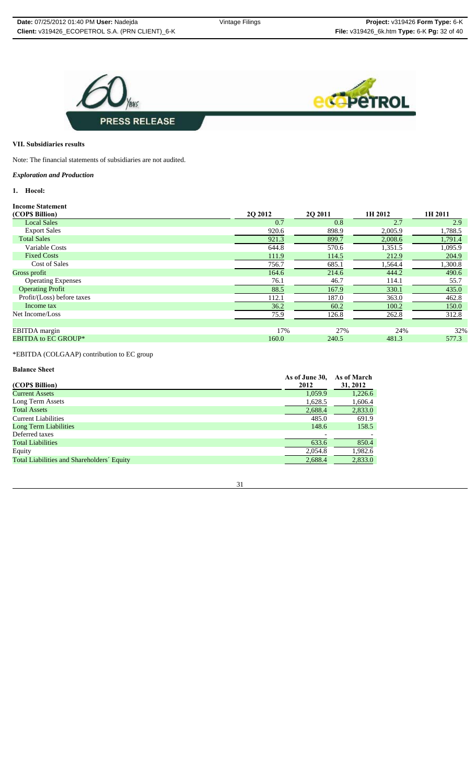

## **VII. Subsidiaries results**

Note: The financial statements of subsidiaries are not audited.

## *Exploration and Production*

## **1. Hocol:**

## **Income Statement**

| (COP\$ Billion)            | 2Q 2012 | 20 20 11 | 1H 2012 | 1H 2011 |
|----------------------------|---------|----------|---------|---------|
| <b>Local Sales</b>         | 0.7     | 0.8      | 2.7     | 2.9     |
| <b>Export Sales</b>        | 920.6   | 898.9    | 2,005.9 | 1,788.5 |
| <b>Total Sales</b>         | 921.3   | 899.7    | 2,008.6 | 1,791.4 |
| Variable Costs             | 644.8   | 570.6    | 1,351.5 | 1,095.9 |
| <b>Fixed Costs</b>         | 111.9   | 114.5    | 212.9   | 204.9   |
| Cost of Sales              | 756.7   | 685.1    | 1,564.4 | 1,300.8 |
| Gross profit               | 164.6   | 214.6    | 444.2   | 490.6   |
| <b>Operating Expenses</b>  | 76.1    | 46.7     | 114.1   | 55.7    |
| <b>Operating Profit</b>    | 88.5    | 167.9    | 330.1   | 435.0   |
| Profit/(Loss) before taxes | 112.1   | 187.0    | 363.0   | 462.8   |
| Income tax                 | 36.2    | 60.2     | 100.2   | 150.0   |
| Net Income/Loss            | 75.9    | 126.8    | 262.8   | 312.8   |
|                            |         |          |         |         |
| EBITDA margin              | 17%     | 27%      | 24%     | 32%     |
| <b>EBITDA to EC GROUP*</b> | 160.0   | 240.5    | 481.3   | 577.3   |
|                            |         |          |         |         |

\*EBITDA (COLGAAP) contribution to EC group

## **Balance Sheet**

|                                            | As of June 30, | As of March |
|--------------------------------------------|----------------|-------------|
| (COP\$ Billion)                            | 2012           | 31, 2012    |
| <b>Current Assets</b>                      | 1,059.9        | 1,226.6     |
| Long Term Assets                           | 1,628.5        | 1,606.4     |
| <b>Total Assets</b>                        | 2,688.4        | 2,833.0     |
| <b>Current Liabilities</b>                 | 485.0          | 691.9       |
| <b>Long Term Liabilities</b>               | 148.6          | 158.5       |
| Deferred taxes                             |                |             |
| <b>Total Liabilities</b>                   | 633.6          | 850.4       |
| Equity                                     | 2,054.8        | 1,982.6     |
| Total Liabilities and Shareholders' Equity | 2,688.4        | 2,833.0     |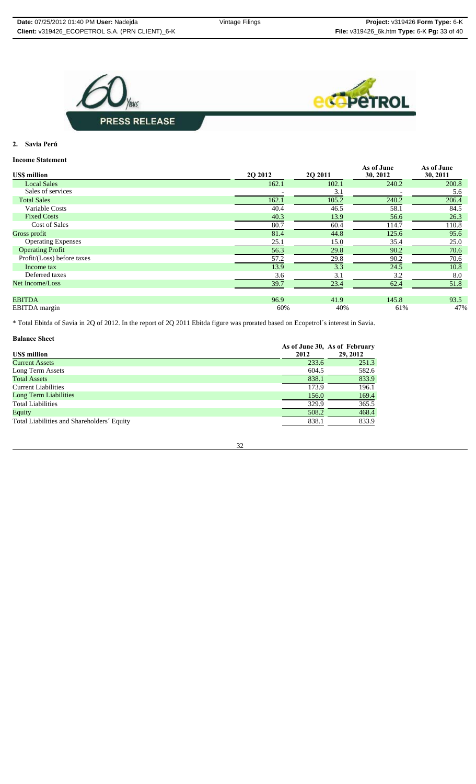



**2. Savia Perú**

## **Income Statement**

| <b>USS</b> million         | 2Q 2012 | <b>202011</b> | As of June<br>30, 2012 | As of June<br>30, 2011 |
|----------------------------|---------|---------------|------------------------|------------------------|
| <b>Local Sales</b>         | 162.1   | 102.1         | 240.2                  | 200.8                  |
| Sales of services          |         | 3.1           |                        | 5.6                    |
| <b>Total Sales</b>         | 162.1   | 105.2         | 240.2                  | 206.4                  |
| Variable Costs             | 40.4    | 46.5          | 58.1                   | 84.5                   |
| <b>Fixed Costs</b>         | 40.3    | 13.9          | 56.6                   | 26.3                   |
| <b>Cost of Sales</b>       | 80.7    | 60.4          | 114.7                  | 110.8                  |
| Gross profit               | 81.4    | 44.8          | 125.6                  | 95.6                   |
| <b>Operating Expenses</b>  | 25.1    | 15.0          | 35.4                   | 25.0                   |
| <b>Operating Profit</b>    | 56.3    | 29.8          | 90.2                   | 70.6                   |
| Profit/(Loss) before taxes | 57.2    | 29.8          | 90.2                   | 70.6                   |
| Income tax                 | 13.9    | 3.3           | 24.5                   | 10.8                   |
| Deferred taxes             | 3.6     | 3.1           | 3.2                    | 8.0                    |
| Net Income/Loss            | 39.7    | 23.4          | 62.4                   | 51.8                   |
| <b>EBITDA</b>              | 96.9    | 41.9          | 145.8                  | 93.5                   |
| <b>EBITDA</b> margin       | 60%     | 40%           | 61%                    | 47%                    |

\* Total Ebitda of Savia in 2Q of 2012. In the report of 2Q 2011 Ebitda figure was prorated based on Ecopetrol´s interest in Savia.

| <b>Balance Sheet</b>                       |       |                                           |
|--------------------------------------------|-------|-------------------------------------------|
| <b>USS million</b>                         | 2012  | As of June 30, As of February<br>29, 2012 |
| <b>Current Assets</b>                      | 233.6 | 251.3                                     |
| Long Term Assets                           | 604.5 | 582.6                                     |
| <b>Total Assets</b>                        | 838.1 | 833.9                                     |
| <b>Current Liabilities</b>                 | 173.9 | 196.1                                     |
| <b>Long Term Liabilities</b>               | 156.0 | 169.4                                     |
| <b>Total Liabilities</b>                   | 329.9 | 365.5                                     |
| Equity                                     | 508.2 | 468.4                                     |
| Total Liabilities and Shareholders' Equity | 838.1 | 833.9                                     |

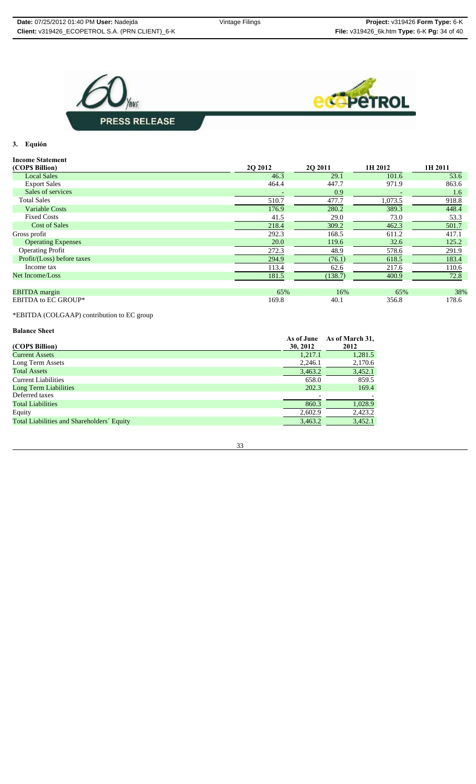



## **3. Equión**

#### **Income Statement**

| (COPS Billion)             | 20 20 12 | 20 20 11 | 1H 2012 | 1H 2011 |
|----------------------------|----------|----------|---------|---------|
| <b>Local Sales</b>         | 46.3     | 29.1     | 101.6   | 53.6    |
| <b>Export Sales</b>        | 464.4    | 447.7    | 971.9   | 863.6   |
| Sales of services          |          | 0.9      |         | 1.6     |
| <b>Total Sales</b>         | 510.7    | 477.7    | 1,073.5 | 918.8   |
| <b>Variable Costs</b>      | 176.9    | 280.2    | 389.3   | 448.4   |
| <b>Fixed Costs</b>         | 41.5     | 29.0     | 73.0    | 53.3    |
| <b>Cost of Sales</b>       | 218.4    | 309.2    | 462.3   | 501.7   |
| Gross profit               | 292.3    | 168.5    | 611.2   | 417.1   |
| <b>Operating Expenses</b>  | 20.0     | 119.6    | 32.6    | 125.2   |
| <b>Operating Profit</b>    | 272.3    | 48.9     | 578.6   | 291.9   |
| Profit/(Loss) before taxes | 294.9    | (76.1)   | 618.5   | 183.4   |
| Income tax                 | 113.4    | 62.6     | 217.6   | 110.6   |
| Net Income/Loss            | 181.5    | (138.7)  | 400.9   | 72.8    |
|                            |          |          |         |         |
| <b>EBITDA</b> margin       | 65%      | 16%      | 65%     | 38%     |
| <b>EBITDA to EC GROUP*</b> | 169.8    | 40.1     | 356.8   | 178.6   |

\*EBITDA (COLGAAP) contribution to EC group

## **Balance Sheet**

| (COP\$ Billion)                            | As of June<br>30, 2012 | As of March 31,<br>2012 |
|--------------------------------------------|------------------------|-------------------------|
| <b>Current Assets</b>                      | 1,217.1                | 1,281.5                 |
| Long Term Assets                           | 2,246.1                | 2,170.6                 |
| <b>Total Assets</b>                        | 3,463.2                | 3,452.1                 |
| Current Liabilities                        | 658.0                  | 859.5                   |
| Long Term Liabilities                      | 202.3                  | 169.4                   |
| Deferred taxes                             |                        |                         |
| <b>Total Liabilities</b>                   | 860.3                  | 1,028.9                 |
| Equity                                     | 2,602.9                | 2,423.2                 |
| Total Liabilities and Shareholders' Equity | 3,463.2                | 3,452.1                 |

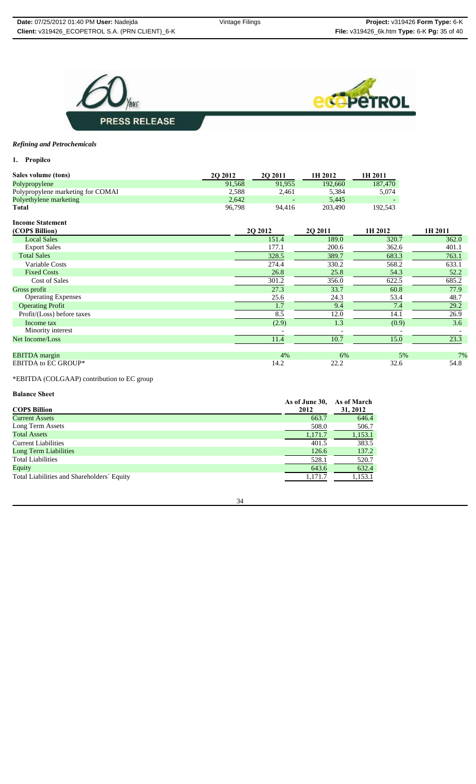



## *Refining and Petrochemicals*

**1. Propilco**

| Sales volume (tons)               | <b>2O 2012</b> | <b>20 2011</b> | 1H 2012 | 1H 2011 |
|-----------------------------------|----------------|----------------|---------|---------|
| Polypropylene                     | 91.568         | 91.955         | 192.660 | 187,470 |
| Polypropylene marketing for COMAI | 2.588          | 2.461          | 5.384   | 5.074   |
| Polyethylene marketing            | 2.642          |                | 5.445   |         |
| Total                             | 96.798         | 94.416         | 203,490 | 192.543 |

## **Income Statement**

| (COPS Billion)             | <b>2O 2012</b> | 20 20 11 | 1H 2012 | 1H 2011 |
|----------------------------|----------------|----------|---------|---------|
| <b>Local Sales</b>         | 151.4          | 189.0    | 320.7   | 362.0   |
| <b>Export Sales</b>        | 177.1          | 200.6    | 362.6   | 401.1   |
| <b>Total Sales</b>         | 328.5          | 389.7    | 683.3   | 763.1   |
| Variable Costs             | 274.4          | 330.2    | 568.2   | 633.1   |
| <b>Fixed Costs</b>         | 26.8           | 25.8     | 54.3    | 52.2    |
| <b>Cost of Sales</b>       | 301.2          | 356.0    | 622.5   | 685.2   |
| Gross profit               | 27.3           | 33.7     | 60.8    | 77.9    |
| <b>Operating Expenses</b>  | 25.6           | 24.3     | 53.4    | 48.7    |
| <b>Operating Profit</b>    | 1.7            | 9.4      | 7.4     | 29.2    |
| Profit/(Loss) before taxes | 8.5            | 12.0     | 14.1    | 26.9    |
| Income tax                 | (2.9)          | 1.3      | (0.9)   | 3.6     |
| Minority interest          |                |          |         |         |
| Net Income/Loss            | 11.4           | 10.7     | 15.0    | 23.3    |
| <b>EBITDA</b> margin       | 4%             | 6%       | 5%      | 7%      |
| <b>EBITDA to EC GROUP*</b> | 14.2           | 22.2     | 32.6    | 54.8    |

\*EBITDA (COLGAAP) contribution to EC group

#### **Balance Sheet**

| <b>COPS Billion</b>                        | As of June 30,<br>2012 | As of March<br>31, 2012 |
|--------------------------------------------|------------------------|-------------------------|
| <b>Current Assets</b>                      | 663.7                  | 646.4                   |
| Long Term Assets                           | 508.0                  | 506.7                   |
| <b>Total Assets</b>                        | 1,171.7                | 1,153.1                 |
| <b>Current Liabilities</b>                 | 401.5                  | 383.5                   |
| Long Term Liabilities                      | 126.6                  | 137.2                   |
| <b>Total Liabilities</b>                   | 528.1                  | 520.7                   |
| Equity                                     | 643.6                  | 632.4                   |
| Total Liabilities and Shareholders' Equity | 1,171.7                | 1,153.1                 |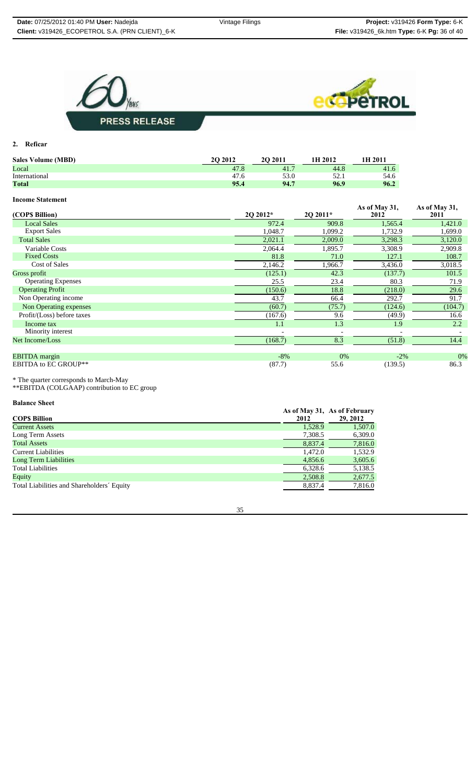



**2. Reficar**

| <b>Sales Volume (MBD)</b> | 20 20 12  | 20 20 11 | 1H 2012 | <b>1H 2011</b> |
|---------------------------|-----------|----------|---------|----------------|
| Local                     | 47.8      | 41.7     | 44.8    | 41.6           |
| International             | 47<br>/.6 |          |         | 54.6           |
| Total                     | 95.4      | 94.7     | 96.9    | 96.2           |

## **Income Statement**

| (COP\$ Billion)             | 2Q 2012* | 2Q 2011* | As of May 31,<br>2012 | As of May 31,<br>2011 |
|-----------------------------|----------|----------|-----------------------|-----------------------|
| <b>Local Sales</b>          | 972.4    | 909.8    | 1,565.4               | 1,421.0               |
| <b>Export Sales</b>         | 1,048.7  | 1,099.2  | 1,732.9               | 1,699.0               |
| <b>Total Sales</b>          | 2,021.1  | 2,009.0  | 3,298.3               | 3,120.0               |
| Variable Costs              | 2,064.4  | 1,895.7  | 3,308.9               | 2,909.8               |
| <b>Fixed Costs</b>          | 81.8     | 71.0     | 127.1                 | 108.7                 |
| Cost of Sales               | 2,146.2  | 1,966.7  | 3,436.0               | 3,018.5               |
| Gross profit                | (125.1)  | 42.3     | (137.7)               | 101.5                 |
| <b>Operating Expenses</b>   | 25.5     | 23.4     | 80.3                  | 71.9                  |
| <b>Operating Profit</b>     | (150.6)  | 18.8     | (218.0)               | 29.6                  |
| Non Operating income        | 43.7     | 66.4     | 292.7                 | 91.7                  |
| Non Operating expenses      | (60.7)   | (75.7)   | (124.6)               | (104.7)               |
| Profit/(Loss) before taxes  | (167.6)  | 9.6      | (49.9)                | 16.6                  |
| Income tax                  | 1.1      | 1.3      | 1.9                   | 2.2                   |
| Minority interest           |          |          |                       |                       |
| Net Income/Loss             | (168.7)  | 8.3      | (51.8)                | 14.4                  |
| <b>EBITDA</b> margin        | $-8%$    | 0%       | $-2\%$                | 0%                    |
| <b>EBITDA to EC GROUP**</b> | (87.7)   | 55.6     | (139.5)               | 86.3                  |

\* The quarter corresponds to March-May

\*\*EBITDA (COLGAAP) contribution to EC group

**Balance Sheet** 

|                                            |         | As of May 31, As of February |
|--------------------------------------------|---------|------------------------------|
| <b>COPS Billion</b>                        | 2012    | 29, 2012                     |
| <b>Current Assets</b>                      | 1,528.9 | 1,507.0                      |
| Long Term Assets                           | 7,308.5 | 6,309.0                      |
| <b>Total Assets</b>                        | 8,837.4 | 7,816.0                      |
| Current Liabilities                        | 1.472.0 | 1.532.9                      |
| Long Term Liabilities                      | 4,856.6 | 3,605.6                      |
| <b>Total Liabilities</b>                   | 6,328.6 | 5,138.5                      |
| Equity                                     | 2,508.8 | 2,677.5                      |
| Total Liabilities and Shareholders' Equity | 8,837.4 | 7,816.0                      |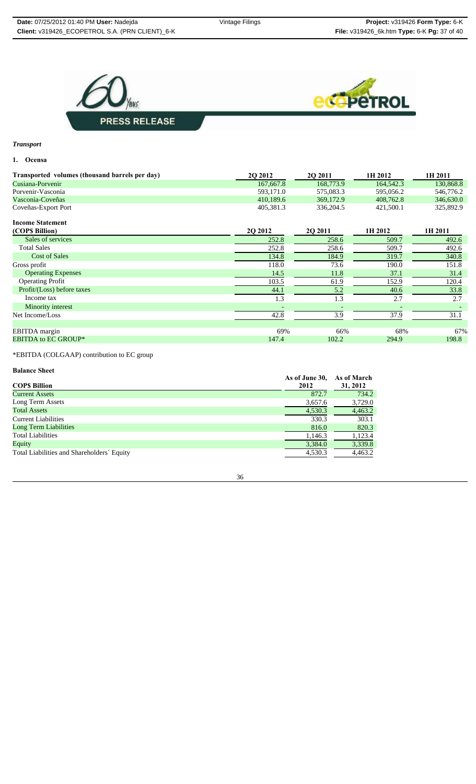

## *Transport*

#### **1. Ocensa**

| Transported volumes (thousand barrels per day) | <b>202012</b> | 20 20 11  | 1H 2012   | 1H 2011   |
|------------------------------------------------|---------------|-----------|-----------|-----------|
| Cusiana-Porvenir                               | 167,667.8     | 168,773.9 | 164,542.3 | 130,868.8 |
| Porvenir-Vasconia                              | 593.171.0     | 575,083.3 | 595,056.2 | 546,776.2 |
| Vasconia-Coveñas                               | 410.189.6     | 369,172.9 | 408.762.8 | 346,630.0 |
| Coveñas-Export Port                            | 405.381.3     | 336,204.5 | 421,500.1 | 325,892.9 |

## **Income Statement**

| (COP\$ Billion)            | 2Q 2012 | <b>2O 2011</b> | 1H 2012 | 1H 2011 |
|----------------------------|---------|----------------|---------|---------|
| Sales of services          | 252.8   | 258.6          | 509.7   | 492.6   |
| <b>Total Sales</b>         | 252.8   | 258.6          | 509.7   | 492.6   |
| <b>Cost of Sales</b>       | 134.8   | 184.9          | 319.7   | 340.8   |
| Gross profit               | 118.0   | 73.6           | 190.0   | 151.8   |
| <b>Operating Expenses</b>  | 14.5    | 11.8           | 37.1    | 31.4    |
| <b>Operating Profit</b>    | 103.5   | 61.9           | 152.9   | 120.4   |
| Profit/(Loss) before taxes | 44.1    | 5.2            | 40.6    | 33.8    |
| Income tax                 | 1.3     | 1.3            | 2.7     | 2.7     |
| Minority interest          |         |                |         |         |
| Net Income/Loss            | 42.8    | 3.9            | 37.9    | 31.1    |
| EBITDA margin              | 69%     | 66%            | 68%     | 67%     |
| <b>EBITDA to EC GROUP*</b> | 147.4   | 102.2          | 294.9   | 198.8   |
|                            |         |                |         |         |

\*EBITDA (COLGAAP) contribution to EC group

#### **Balance Sheet**

|                                            | As of June 30, | As of March |
|--------------------------------------------|----------------|-------------|
| <b>COPS Billion</b>                        | 2012           | 31, 2012    |
| <b>Current Assets</b>                      | 872.7          | 734.2       |
| Long Term Assets                           | 3,657.6        | 3,729.0     |
| <b>Total Assets</b>                        | 4,530.3        | 4,463.2     |
| <b>Current Liabilities</b>                 | 330.3          | 303.1       |
| <b>Long Term Liabilities</b>               | 816.0          | 820.3       |
| <b>Total Liabilities</b>                   | 1,146.3        | 1,123.4     |
| Equity                                     | 3,384.0        | 3,339.8     |
| Total Liabilities and Shareholders' Equity | 4,530.3        | 4,463.2     |

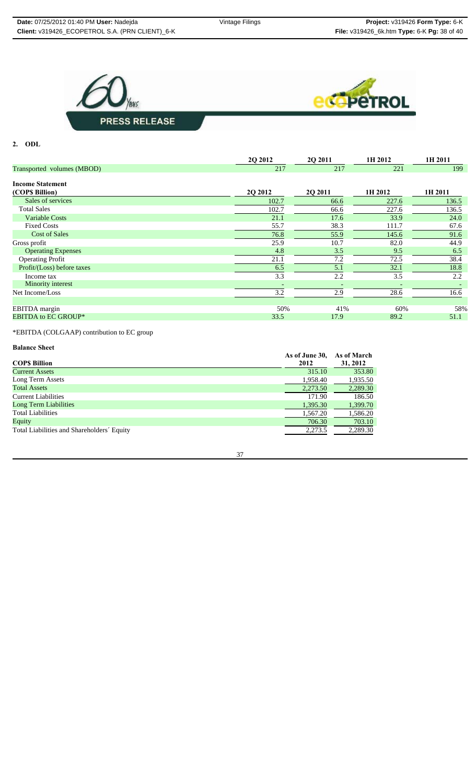



**2. ODL**

|                            | 2Q 2012 | 2Q 2011 | 1H 2012 | 1H 2011 |
|----------------------------|---------|---------|---------|---------|
| Transported volumes (MBOD) | 217     | 217     | 221     | 199     |
| <b>Income Statement</b>    |         |         |         |         |
| (COPS Billion)             | 2Q 2012 | 2Q 2011 | 1H 2012 | 1H 2011 |
| Sales of services          | 102.7   | 66.6    | 227.6   | 136.5   |
| <b>Total Sales</b>         | 102.7   | 66.6    | 227.6   | 136.5   |
| <b>Variable Costs</b>      | 21.1    | 17.6    | 33.9    | 24.0    |
| <b>Fixed Costs</b>         | 55.7    | 38.3    | 111.7   | 67.6    |
| <b>Cost of Sales</b>       | 76.8    | 55.9    | 145.6   | 91.6    |
| Gross profit               | 25.9    | 10.7    | 82.0    | 44.9    |
| <b>Operating Expenses</b>  | 4.8     | 3.5     | 9.5     | 6.5     |
| <b>Operating Profit</b>    | 21.1    | 7.2     | 72.5    | 38.4    |
| Profit/(Loss) before taxes | 6.5     | 5.1     | 32.1    | 18.8    |
| Income tax                 | 3.3     | 2.2     | 3.5     | 2.2     |
| Minority interest          |         |         |         |         |
| Net Income/Loss            | 3.2     | 2.9     | 28.6    | 16.6    |
|                            |         |         |         |         |
| EBITDA margin              | 50%     | 41%     | 60%     | 58%     |
| <b>EBITDA to EC GROUP*</b> | 33.5    | 17.9    | 89.2    | 51.1    |

\*EBITDA (COLGAAP) contribution to EC group

## **Balance Sheet**

|                                            | As of June 30, | As of March |
|--------------------------------------------|----------------|-------------|
| <b>COPS Billion</b>                        | 2012           | 31, 2012    |
| <b>Current Assets</b>                      | 315.10         | 353.80      |
| Long Term Assets                           | 1,958.40       | 1,935.50    |
| <b>Total Assets</b>                        | 2,273.50       | 2,289.30    |
| <b>Current Liabilities</b>                 | 171.90         | 186.50      |
| Long Term Liabilities                      | 1,395.30       | 1,399.70    |
| <b>Total Liabilities</b>                   | 1,567.20       | 1,586.20    |
| Equity                                     | 706.30         | 703.10      |
| Total Liabilities and Shareholders' Equity | 2,273.5        | 2,289.30    |
|                                            |                |             |

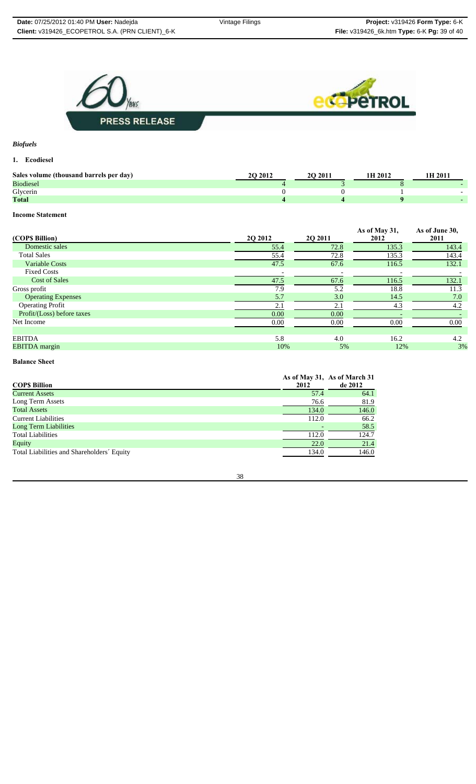

*Biofuels*

## **1. Ecodiesel**

| Sales volume (thousand barrels per day) | 2012 | 20 20 11 | 1H 2012 | 'H 2011 |
|-----------------------------------------|------|----------|---------|---------|
| <b>Biodiesel</b>                        |      |          |         |         |
| Glycerin                                |      |          |         |         |
| <b>Total</b>                            |      |          |         |         |

## **Income Statement**

| (COPS Billion)             | 2Q 2012 | 20 20 11 | As of May 31,<br>2012 | As of June 30,<br>2011 |
|----------------------------|---------|----------|-----------------------|------------------------|
| Domestic sales             | 55.4    | 72.8     | 135.3                 | 143.4                  |
| <b>Total Sales</b>         | 55.4    | 72.8     | 135.3                 | 143.4                  |
| <b>Variable Costs</b>      | 47.5    | 67.6     | 116.5                 | 132.1                  |
| <b>Fixed Costs</b>         |         |          |                       |                        |
| <b>Cost of Sales</b>       | 47.5    | 67.6     | 116.5                 | 132.1                  |
| Gross profit               | 7.9     | 5.2      | 18.8                  | 11.3                   |
| <b>Operating Expenses</b>  | 5.7     | 3.0      | 14.5                  | 7.0                    |
| <b>Operating Profit</b>    | 2.1     | 2.1      | 4.3                   | 4.2                    |
| Profit/(Loss) before taxes | 0.00    | 0.00     |                       |                        |
| Net Income                 | 0.00    | 0.00     | 0.00                  | 0.00                   |
|                            |         |          |                       |                        |
| <b>EBITDA</b>              | 5.8     | 4.0      | 16.2                  | 4.2                    |
| <b>EBITDA</b> margin       | 10%     | 5%       | 12%                   | 3%                     |

#### **Balance Sheet**

| <b>COPS Billion</b>                        | 2012  | As of May 31, As of March 31<br>de 2012 |
|--------------------------------------------|-------|-----------------------------------------|
| <b>Current Assets</b>                      | 57.4  | 64.1                                    |
| Long Term Assets                           | 76.6  | 81.9                                    |
| <b>Total Assets</b>                        | 134.0 | 146.0                                   |
| <b>Current Liabilities</b>                 | 112.0 | 66.2                                    |
| <b>Long Term Liabilities</b>               |       | 58.5                                    |
| <b>Total Liabilities</b>                   | 112.0 | 124.7                                   |
| Equity                                     | 22.0  | 21.4                                    |
| Total Liabilities and Shareholders' Equity | 134.0 | 146.0                                   |